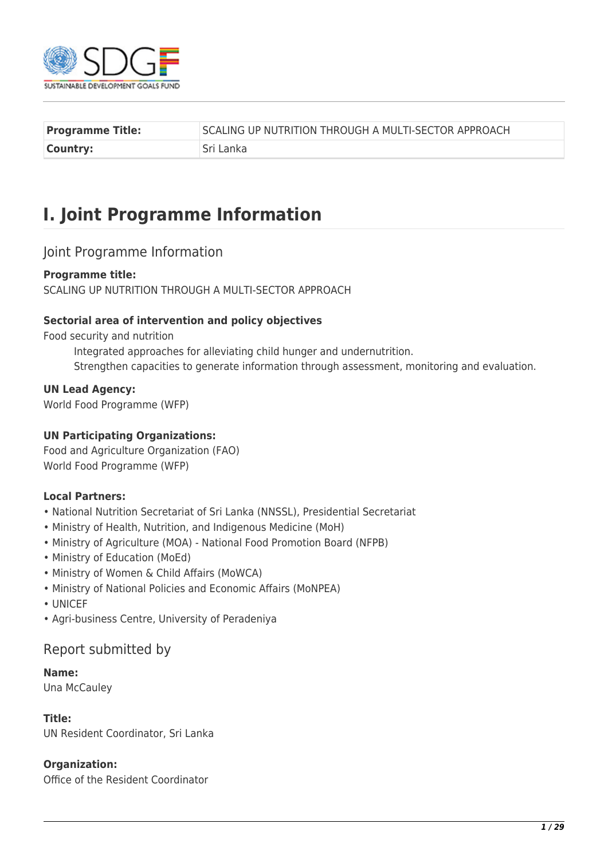

| <b>Programme Title:</b> | SCALING UP NUTRITION THROUGH A MULTI-SECTOR APPROACH |
|-------------------------|------------------------------------------------------|
| Country:                | Sri Lanka                                            |

# **I. Joint Programme Information**

# Joint Programme Information

#### **Programme title:**

SCALING UP NUTRITION THROUGH A MULTI-SECTOR APPROACH

#### **Sectorial area of intervention and policy objectives**

Food security and nutrition

Integrated approaches for alleviating child hunger and undernutrition. Strengthen capacities to generate information through assessment, monitoring and evaluation.

**UN Lead Agency:** 

World Food Programme (WFP)

#### **UN Participating Organizations:**

Food and Agriculture Organization (FAO) World Food Programme (WFP)

#### **Local Partners:**

- National Nutrition Secretariat of Sri Lanka (NNSSL), Presidential Secretariat
- Ministry of Health, Nutrition, and Indigenous Medicine (MoH)
- Ministry of Agriculture (MOA) National Food Promotion Board (NFPB)
- Ministry of Education (MoEd)
- Ministry of Women & Child Affairs (MoWCA)
- Ministry of National Policies and Economic Affairs (MoNPEA)
- UNICEF
- Agri-business Centre, University of Peradeniya

# Report submitted by

#### **Name:**

Una McCauley

#### **Title:**

UN Resident Coordinator, Sri Lanka

#### **Organization:**

Office of the Resident Coordinator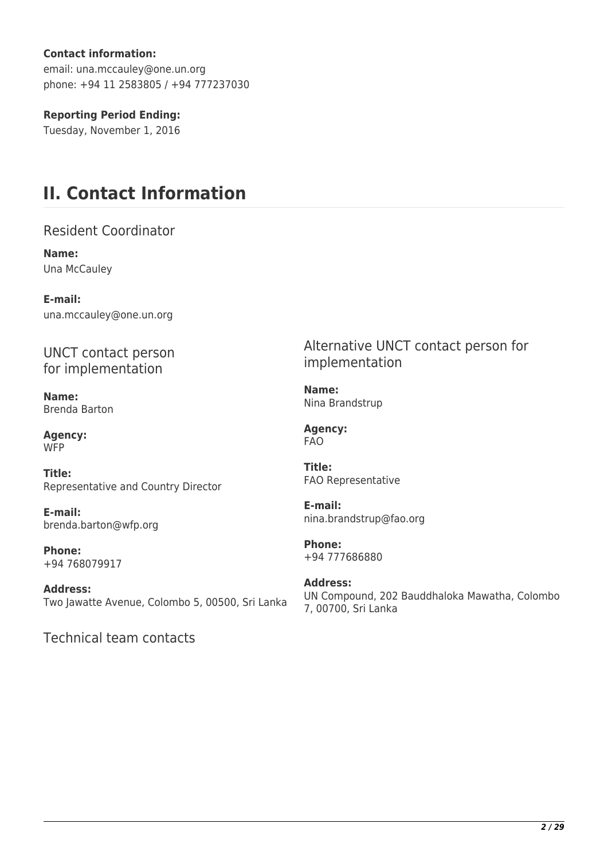### **Contact information:**

email: una.mccauley@one.un.org phone: +94 11 2583805 / +94 777237030

### **Reporting Period Ending:**

Tuesday, November 1, 2016

# **II. Contact Information**

Resident Coordinator

**Name:**  Una McCauley

**E-mail:**  una.mccauley@one.un.org

UNCT contact person for implementation

**Name:**  Brenda Barton

**Agency: WFP** 

**Title:**  Representative and Country Director

**E-mail:**  brenda.barton@wfp.org

**Phone:**  +94 768079917

**Address:**  Two Jawatte Avenue, Colombo 5, 00500, Sri Lanka

Technical team contacts

Alternative UNCT contact person for implementation

**Name:**  Nina Brandstrup

**Agency:**  FAO

**Title:**  FAO Representative

**E-mail:**  nina.brandstrup@fao.org

**Phone:**  +94 777686880

**Address:**  UN Compound, 202 Bauddhaloka Mawatha, Colombo 7, 00700, Sri Lanka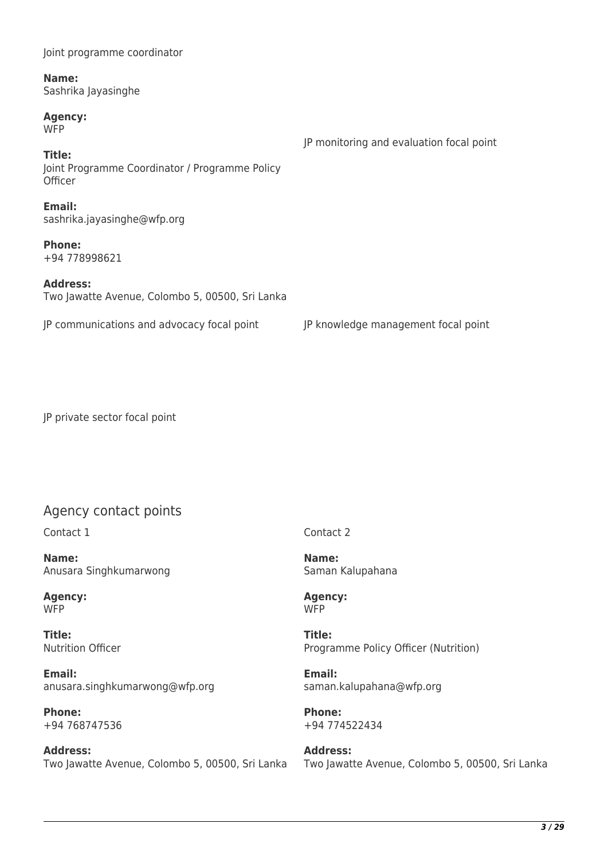| Name:<br>Sashrika Jayasinghe                                        |                                          |  |  |
|---------------------------------------------------------------------|------------------------------------------|--|--|
| <b>Agency:</b><br><b>WFP</b>                                        | JP monitoring and evaluation focal point |  |  |
| Title:<br>Joint Programme Coordinator / Programme Policy<br>Officer |                                          |  |  |
| Email:<br>sashrika.jayasinghe@wfp.org                               |                                          |  |  |
| <b>Phone:</b><br>+94 778998621                                      |                                          |  |  |
| <b>Address:</b><br>Two Jawatte Avenue, Colombo 5, 00500, Sri Lanka  |                                          |  |  |
| JP communications and advocacy focal point                          | JP knowledge management focal point      |  |  |

JP private sector focal point

Joint programme coordinator

# Agency contact points

Contact 1

**Name:**  Anusara Singhkumarwong

**Agency:**  W<sub>FP</sub>

**Title:**  Nutrition Officer

**Email:**  anusara.singhkumarwong@wfp.org

**Phone:**  +94 768747536

**Address:**  Two Jawatte Avenue, Colombo 5, 00500, Sri Lanka Contact 2

**Name:**  Saman Kalupahana

**Agency: WFP** 

**Title:**  Programme Policy Officer (Nutrition)

**Email:**  saman.kalupahana@wfp.org

**Phone:**  +94 774522434

**Address:**  Two Jawatte Avenue, Colombo 5, 00500, Sri Lanka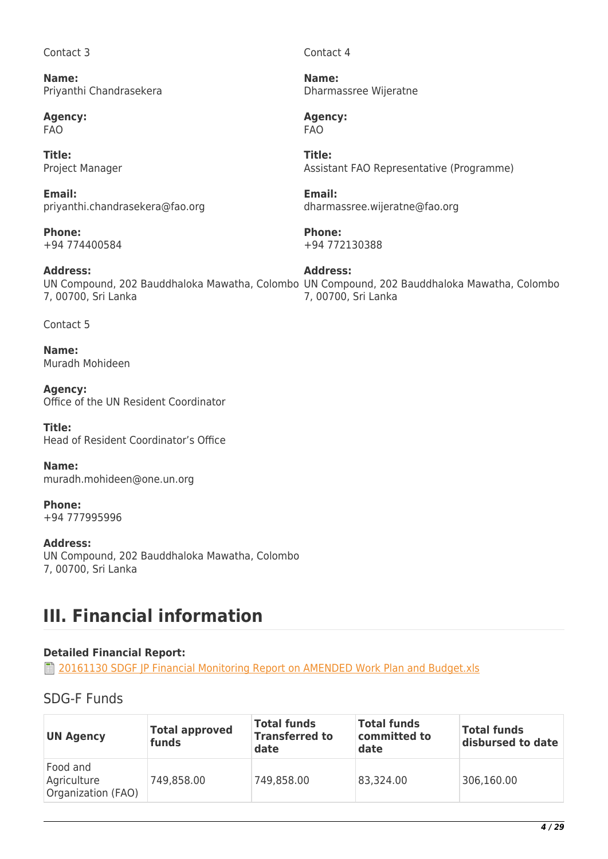#### Contact 3

**Name:**  Priyanthi Chandrasekera

**Agency:**  FAO

**Title:**  Project Manager

**Email:**  priyanthi.chandrasekera@fao.org

**Phone:**  +94 774400584

**Address:**  7, 00700, Sri Lanka

Contact 5

**Name:**  Muradh Mohideen

**Agency:**  Office of the UN Resident Coordinator

**Title:**  Head of Resident Coordinator's Office

**Name:**  muradh.mohideen@one.un.org

**Phone:**  +94 777995996

**Address:**  UN Compound, 202 Bauddhaloka Mawatha, Colombo 7, 00700, Sri Lanka

# **III. Financial information**

# **Detailed Financial Report:**

**T** [20161130 SDGF JP Financial Monitoring Report on AMENDED Work Plan and Budget.xls](http://proposals.sdgfund.org/system/files/report-attachments/20161130%20SDGF%20JP%20Financial%20Monitoring%20Report%20on%20AMENDED%20Work%20Plan%20and%20Budget.xls)

# SDG-F Funds

| <b>UN Agency</b>                              | <b>Total approved</b><br>funds | <b>Total funds</b><br><b>Transferred to</b><br>date | <b>Total funds</b><br>committed to<br>date | <b>Total funds</b><br>disbursed to date |
|-----------------------------------------------|--------------------------------|-----------------------------------------------------|--------------------------------------------|-----------------------------------------|
| Food and<br>Agriculture<br>Organization (FAO) | 749,858.00                     | 749,858.00                                          | 83,324.00                                  | 306,160.00                              |

Contact 4

**Name:**  Dharmassree Wijeratne

**Agency:**  FAO

**Title:**  Assistant FAO Representative (Programme)

**Email:**  dharmassree.wijeratne@fao.org

**Phone:**  +94 772130388

UN Compound, 202 Bauddhaloka Mawatha, Colombo UN Compound, 202 Bauddhaloka Mawatha, Colombo **Address:**  7, 00700, Sri Lanka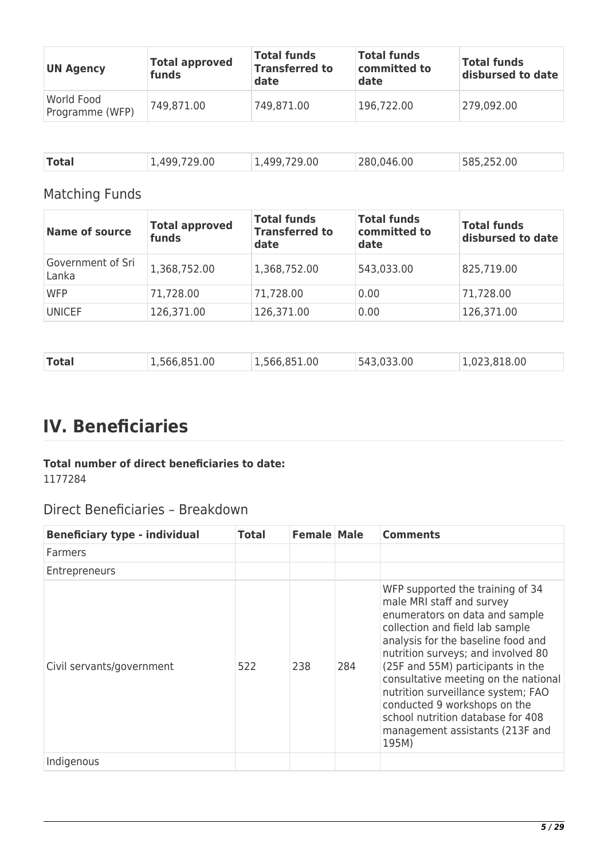| <b>UN Agency</b>              | <b>Total approved</b><br>funds | <b>Total funds</b><br><b>Transferred to</b><br>date | <b>Total funds</b><br>committed to<br>date | <b>Total funds</b><br>disbursed to date |
|-------------------------------|--------------------------------|-----------------------------------------------------|--------------------------------------------|-----------------------------------------|
| World Food<br>Programme (WFP) | 749,871.00                     | 749,871.00                                          | 196,722.00                                 | 279,092.00                              |

| <b>Total</b><br>1,499,729.00 | ,499,729.00 | 280,046.00 | 585,252.00 |  |
|------------------------------|-------------|------------|------------|--|
|------------------------------|-------------|------------|------------|--|

# Matching Funds

| <b>Name of source</b>      | <b>Total approved</b><br>funds | <b>Total funds</b><br><b>Transferred to</b><br>date | <b>Total funds</b><br>committed to<br>date | <b>Total funds</b><br>disbursed to date |
|----------------------------|--------------------------------|-----------------------------------------------------|--------------------------------------------|-----------------------------------------|
| Government of Sri<br>Lanka | 1,368,752.00                   | 1,368,752.00                                        | 543,033.00                                 | 825,719.00                              |
| <b>WFP</b>                 | 71,728.00                      | 71,728.00                                           | 0.00                                       | 71,728.00                               |
| <b>UNICEF</b>              | 126,371.00                     | 126,371.00                                          | 0.00                                       | 126,371.00                              |

| <b>Total</b> | 1,566,851.00 | 1,566,851.00 | 543,033.00 | 1,023,818.00 |
|--------------|--------------|--------------|------------|--------------|

# **IV. Beneficiaries**

# **Total number of direct beneficiaries to date:**

1177284

# Direct Beneficiaries – Breakdown

| <b>Beneficiary type - individual</b> | Total | <b>Female Male</b> |     | <b>Comments</b>                                                                                                                                                                                                                                                                                                                                                                                                                                    |
|--------------------------------------|-------|--------------------|-----|----------------------------------------------------------------------------------------------------------------------------------------------------------------------------------------------------------------------------------------------------------------------------------------------------------------------------------------------------------------------------------------------------------------------------------------------------|
| <b>Farmers</b>                       |       |                    |     |                                                                                                                                                                                                                                                                                                                                                                                                                                                    |
| Entrepreneurs                        |       |                    |     |                                                                                                                                                                                                                                                                                                                                                                                                                                                    |
| Civil servants/government            | 522   | 238                | 284 | WFP supported the training of 34<br>male MRI staff and survey<br>enumerators on data and sample<br>collection and field lab sample<br>analysis for the baseline food and<br>nutrition surveys; and involved 80<br>(25F and 55M) participants in the<br>consultative meeting on the national<br>nutrition surveillance system; FAO<br>conducted 9 workshops on the<br>school nutrition database for 408<br>management assistants (213F and<br>195M) |
| Indigenous                           |       |                    |     |                                                                                                                                                                                                                                                                                                                                                                                                                                                    |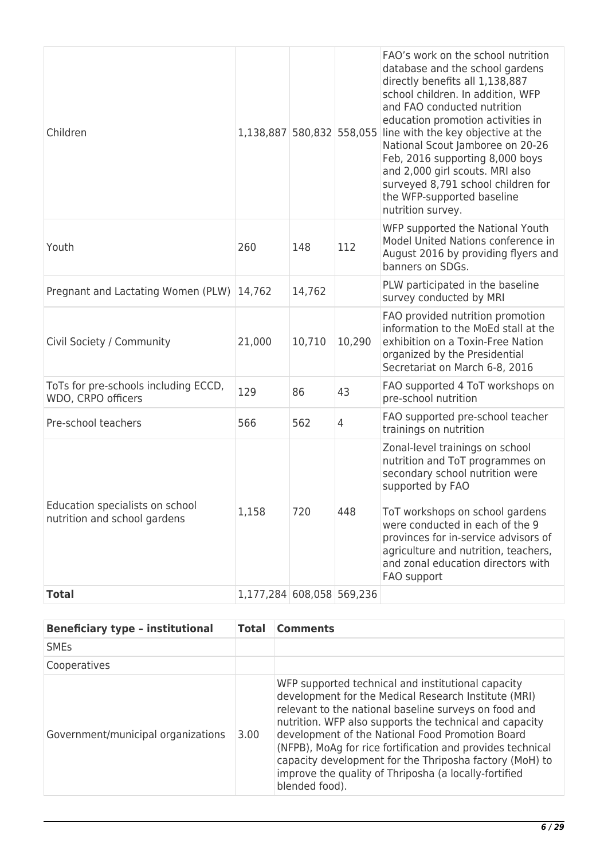| Children                                                        | 1,138,887 580,832 558,055 |        |                | FAO's work on the school nutrition<br>database and the school gardens<br>directly benefits all 1,138,887<br>school children. In addition, WFP<br>and FAO conducted nutrition<br>education promotion activities in<br>line with the key objective at the<br>National Scout Jamboree on 20-26<br>Feb, 2016 supporting 8,000 boys<br>and 2,000 girl scouts. MRI also<br>surveyed 8,791 school children for<br>the WFP-supported baseline<br>nutrition survey. |
|-----------------------------------------------------------------|---------------------------|--------|----------------|------------------------------------------------------------------------------------------------------------------------------------------------------------------------------------------------------------------------------------------------------------------------------------------------------------------------------------------------------------------------------------------------------------------------------------------------------------|
| Youth                                                           | 260                       | 148    | 112            | WFP supported the National Youth<br>Model United Nations conference in<br>August 2016 by providing flyers and<br>banners on SDGs.                                                                                                                                                                                                                                                                                                                          |
| Pregnant and Lactating Women (PLW) 14,762                       |                           | 14,762 |                | PLW participated in the baseline<br>survey conducted by MRI                                                                                                                                                                                                                                                                                                                                                                                                |
| Civil Society / Community                                       | 21,000                    | 10,710 | 10,290         | FAO provided nutrition promotion<br>information to the MoEd stall at the<br>exhibition on a Toxin-Free Nation<br>organized by the Presidential<br>Secretariat on March 6-8, 2016                                                                                                                                                                                                                                                                           |
| ToTs for pre-schools including ECCD,<br>WDO, CRPO officers      | 129                       | 86     | 43             | FAO supported 4 ToT workshops on<br>pre-school nutrition                                                                                                                                                                                                                                                                                                                                                                                                   |
| Pre-school teachers                                             | 566                       | 562    | $\overline{4}$ | FAO supported pre-school teacher<br>trainings on nutrition                                                                                                                                                                                                                                                                                                                                                                                                 |
| Education specialists on school<br>nutrition and school gardens | 1,158                     | 720    | 448            | Zonal-level trainings on school<br>nutrition and ToT programmes on<br>secondary school nutrition were<br>supported by FAO<br>ToT workshops on school gardens<br>were conducted in each of the 9<br>provinces for in-service advisors of<br>agriculture and nutrition, teachers,<br>and zonal education directors with<br>FAO support                                                                                                                       |
| <b>Total</b>                                                    | 1,177,284 608,058 569,236 |        |                |                                                                                                                                                                                                                                                                                                                                                                                                                                                            |

| <b>Beneficiary type - institutional</b> | <b>Total</b> | <b>Comments</b>                                                                                                                                                                                                                                                                                                                                                                                                                                                                        |
|-----------------------------------------|--------------|----------------------------------------------------------------------------------------------------------------------------------------------------------------------------------------------------------------------------------------------------------------------------------------------------------------------------------------------------------------------------------------------------------------------------------------------------------------------------------------|
| <b>SME<sub>s</sub></b>                  |              |                                                                                                                                                                                                                                                                                                                                                                                                                                                                                        |
| Cooperatives                            |              |                                                                                                                                                                                                                                                                                                                                                                                                                                                                                        |
| Government/municipal organizations      | 3.00         | WFP supported technical and institutional capacity<br>development for the Medical Research Institute (MRI)<br>relevant to the national baseline surveys on food and<br>nutrition. WFP also supports the technical and capacity<br>development of the National Food Promotion Board<br>(NFPB), MoAg for rice fortification and provides technical<br>capacity development for the Thriposha factory (MoH) to<br>improve the quality of Thriposha (a locally-fortified<br>blended food). |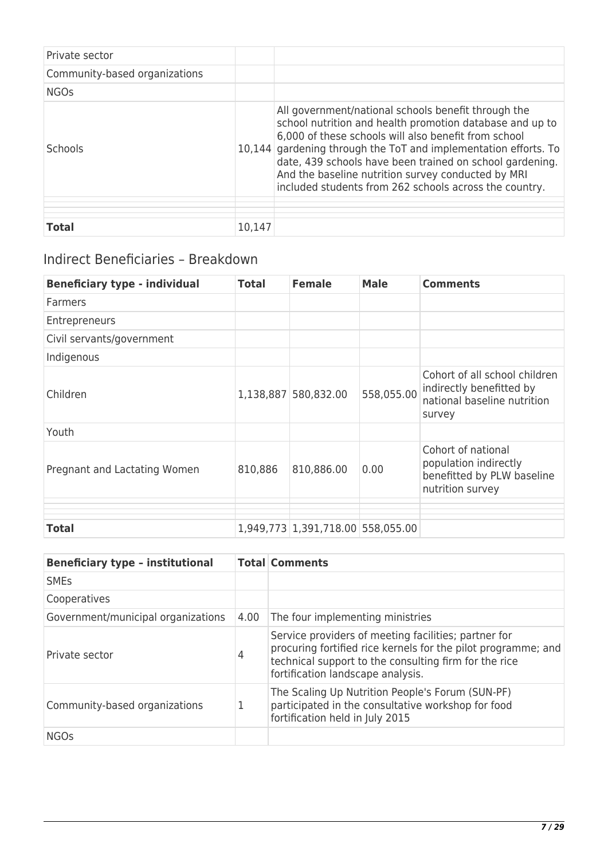| Private sector                |        |                                                                                                                                                                                                                                                                                                                                                                                                                        |
|-------------------------------|--------|------------------------------------------------------------------------------------------------------------------------------------------------------------------------------------------------------------------------------------------------------------------------------------------------------------------------------------------------------------------------------------------------------------------------|
| Community-based organizations |        |                                                                                                                                                                                                                                                                                                                                                                                                                        |
| <b>NGOs</b>                   |        |                                                                                                                                                                                                                                                                                                                                                                                                                        |
| Schools                       |        | All government/national schools benefit through the<br>school nutrition and health promotion database and up to<br>6,000 of these schools will also benefit from school<br>10,144 gardening through the ToT and implementation efforts. To<br>date, 439 schools have been trained on school gardening.<br>And the baseline nutrition survey conducted by MRI<br>included students from 262 schools across the country. |
| <b>Total</b>                  | 10,147 |                                                                                                                                                                                                                                                                                                                                                                                                                        |

# Indirect Beneficiaries – Breakdown

| <b>Beneficiary type - individual</b> | <b>Total</b> | <b>Female</b>                     | <b>Male</b> | <b>Comments</b>                                                                                    |
|--------------------------------------|--------------|-----------------------------------|-------------|----------------------------------------------------------------------------------------------------|
| Farmers                              |              |                                   |             |                                                                                                    |
| <b>Entrepreneurs</b>                 |              |                                   |             |                                                                                                    |
| Civil servants/government            |              |                                   |             |                                                                                                    |
| Indigenous                           |              |                                   |             |                                                                                                    |
| Children                             |              | 1,138,887 580,832.00              | 558,055.00  | Cohort of all school children<br>indirectly benefitted by<br>national baseline nutrition<br>survey |
| Youth                                |              |                                   |             |                                                                                                    |
| Pregnant and Lactating Women         | 810,886      | 810,886.00                        | 0.00        | Cohort of national<br>population indirectly<br>benefitted by PLW baseline<br>nutrition survey      |
|                                      |              |                                   |             |                                                                                                    |
| <b>Total</b>                         |              | 1,949,773 1,391,718.00 558,055.00 |             |                                                                                                    |

| <b>Beneficiary type - institutional</b> |      | <b>Total Comments</b>                                                                                                                                                                                               |
|-----------------------------------------|------|---------------------------------------------------------------------------------------------------------------------------------------------------------------------------------------------------------------------|
| <b>SME<sub>s</sub></b>                  |      |                                                                                                                                                                                                                     |
| Cooperatives                            |      |                                                                                                                                                                                                                     |
| Government/municipal organizations      | 4.00 | The four implementing ministries                                                                                                                                                                                    |
| Private sector                          | 4    | Service providers of meeting facilities; partner for<br>procuring fortified rice kernels for the pilot programme; and<br>technical support to the consulting firm for the rice<br>fortification landscape analysis. |
| Community-based organizations           | 1    | The Scaling Up Nutrition People's Forum (SUN-PF)<br>participated in the consultative workshop for food<br>fortification held in July 2015                                                                           |
| <b>NGOs</b>                             |      |                                                                                                                                                                                                                     |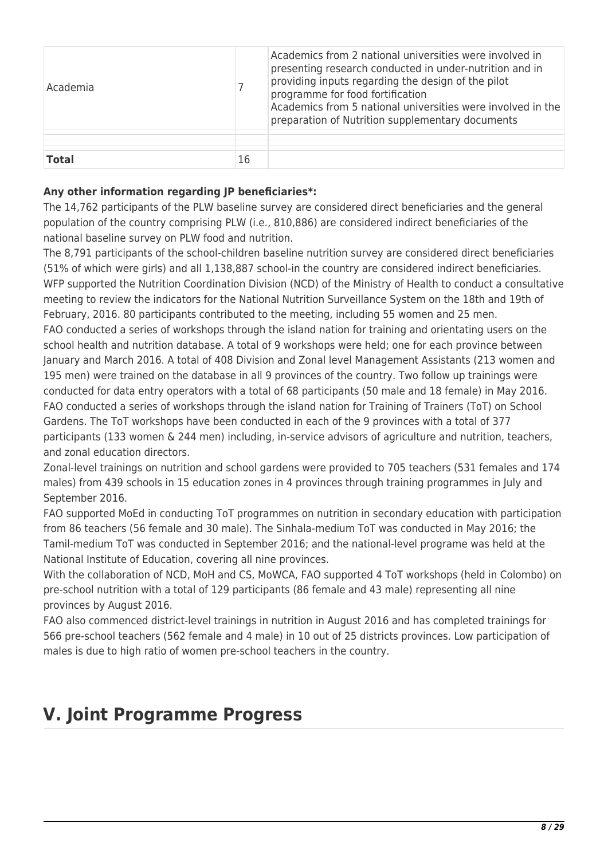| Academia     |    | Academics from 2 national universities were involved in<br>presenting research conducted in under-nutrition and in<br>providing inputs regarding the design of the pilot<br>programme for food fortification<br>Academics from 5 national universities were involved in the<br>preparation of Nutrition supplementary documents |
|--------------|----|---------------------------------------------------------------------------------------------------------------------------------------------------------------------------------------------------------------------------------------------------------------------------------------------------------------------------------|
| <b>Total</b> | 16 |                                                                                                                                                                                                                                                                                                                                 |

## **Any other information regarding JP beneficiaries\*:**

The 14,762 participants of the PLW baseline survey are considered direct beneficiaries and the general population of the country comprising PLW (i.e., 810,886) are considered indirect beneficiaries of the national baseline survey on PLW food and nutrition.

The 8,791 participants of the school-children baseline nutrition survey are considered direct beneficiaries (51% of which were girls) and all 1,138,887 school-in the country are considered indirect beneficiaries. WFP supported the Nutrition Coordination Division (NCD) of the Ministry of Health to conduct a consultative meeting to review the indicators for the National Nutrition Surveillance System on the 18th and 19th of February, 2016. 80 participants contributed to the meeting, including 55 women and 25 men. FAO conducted a series of workshops through the island nation for training and orientating users on the school health and nutrition database. A total of 9 workshops were held; one for each province between January and March 2016. A total of 408 Division and Zonal level Management Assistants (213 women and 195 men) were trained on the database in all 9 provinces of the country. Two follow up trainings were conducted for data entry operators with a total of 68 participants (50 male and 18 female) in May 2016. FAO conducted a series of workshops through the island nation for Training of Trainers (ToT) on School Gardens. The ToT workshops have been conducted in each of the 9 provinces with a total of 377 participants (133 women & 244 men) including, in-service advisors of agriculture and nutrition, teachers, and zonal education directors.

Zonal-level trainings on nutrition and school gardens were provided to 705 teachers (531 females and 174 males) from 439 schools in 15 education zones in 4 provinces through training programmes in July and September 2016.

FAO supported MoEd in conducting ToT programmes on nutrition in secondary education with participation from 86 teachers (56 female and 30 male). The Sinhala-medium ToT was conducted in May 2016; the Tamil-medium ToT was conducted in September 2016; and the national-level programe was held at the National Institute of Education, covering all nine provinces.

With the collaboration of NCD, MoH and CS, MoWCA, FAO supported 4 ToT workshops (held in Colombo) on pre-school nutrition with a total of 129 participants (86 female and 43 male) representing all nine provinces by August 2016.

FAO also commenced district-level trainings in nutrition in August 2016 and has completed trainings for 566 pre-school teachers (562 female and 4 male) in 10 out of 25 districts provinces. Low participation of males is due to high ratio of women pre-school teachers in the country.

# **V. Joint Programme Progress**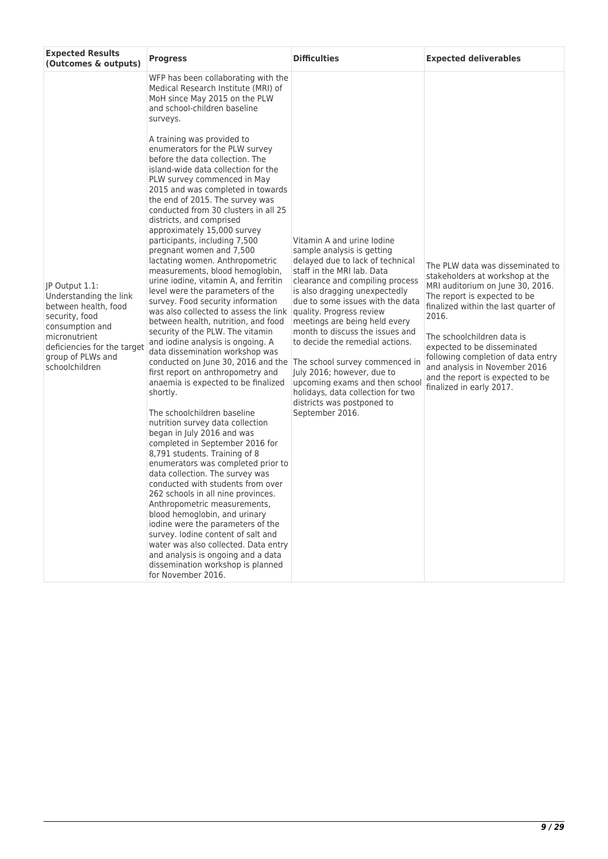| <b>Expected Results</b><br>(Outcomes & outputs)                                                                                                                                              | <b>Progress</b>                                                                                                                                                                                                                                                                                                                                                                                                                                                                                                                                                                                                                                                                                                                                                                                                                                                                                                                                                                                                                                                                                                                                                                                                                                                                                                                                                                                                                                                                                                                                                                                                                                                                                                                         | <b>Difficulties</b>                                                                                                                                                                                                                                                                                                                                                                                                                                                                                                         | <b>Expected deliverables</b>                                                                                                                                                                                                                                                                                                                                                                 |
|----------------------------------------------------------------------------------------------------------------------------------------------------------------------------------------------|-----------------------------------------------------------------------------------------------------------------------------------------------------------------------------------------------------------------------------------------------------------------------------------------------------------------------------------------------------------------------------------------------------------------------------------------------------------------------------------------------------------------------------------------------------------------------------------------------------------------------------------------------------------------------------------------------------------------------------------------------------------------------------------------------------------------------------------------------------------------------------------------------------------------------------------------------------------------------------------------------------------------------------------------------------------------------------------------------------------------------------------------------------------------------------------------------------------------------------------------------------------------------------------------------------------------------------------------------------------------------------------------------------------------------------------------------------------------------------------------------------------------------------------------------------------------------------------------------------------------------------------------------------------------------------------------------------------------------------------------|-----------------------------------------------------------------------------------------------------------------------------------------------------------------------------------------------------------------------------------------------------------------------------------------------------------------------------------------------------------------------------------------------------------------------------------------------------------------------------------------------------------------------------|----------------------------------------------------------------------------------------------------------------------------------------------------------------------------------------------------------------------------------------------------------------------------------------------------------------------------------------------------------------------------------------------|
| JP Output 1.1:<br>Understanding the link<br>between health, food<br>security, food<br>consumption and<br>micronutrient<br>deficiencies for the target<br>group of PLWs and<br>schoolchildren | WFP has been collaborating with the<br>Medical Research Institute (MRI) of<br>MoH since May 2015 on the PLW<br>and school-children baseline<br>surveys.<br>A training was provided to<br>enumerators for the PLW survey<br>before the data collection. The<br>island-wide data collection for the<br>PLW survey commenced in May<br>2015 and was completed in towards<br>the end of 2015. The survey was<br>conducted from 30 clusters in all 25<br>districts, and comprised<br>approximately 15,000 survey<br>participants, including 7,500<br>pregnant women and 7,500<br>lactating women. Anthropometric<br>measurements, blood hemoglobin,<br>urine iodine, vitamin A, and ferritin<br>level were the parameters of the<br>survey. Food security information<br>was also collected to assess the link<br>between health, nutrition, and food<br>security of the PLW. The vitamin<br>and iodine analysis is ongoing. A<br>data dissemination workshop was<br>conducted on June 30, 2016 and the The school survey commenced in<br>first report on anthropometry and<br>anaemia is expected to be finalized<br>shortly.<br>The schoolchildren baseline<br>nutrition survey data collection<br>began in July 2016 and was<br>completed in September 2016 for<br>8,791 students. Training of 8<br>enumerators was completed prior to<br>data collection. The survey was<br>conducted with students from over<br>262 schools in all nine provinces.<br>Anthropometric measurements,<br>blood hemoglobin, and urinary<br>iodine were the parameters of the<br>survey. Iodine content of salt and<br>water was also collected. Data entry<br>and analysis is ongoing and a data<br>dissemination workshop is planned<br>for November 2016. | Vitamin A and urine lodine<br>sample analysis is getting<br>delayed due to lack of technical<br>staff in the MRI lab. Data<br>clearance and compiling process<br>is also dragging unexpectedly<br>due to some issues with the data<br>quality. Progress review<br>meetings are being held every<br>month to discuss the issues and<br>to decide the remedial actions.<br>July 2016; however, due to<br>upcoming exams and then school<br>holidays, data collection for two<br>districts was postponed to<br>September 2016. | The PLW data was disseminated to<br>stakeholders at workshop at the<br>MRI auditorium on June 30, 2016.<br>The report is expected to be<br>finalized within the last quarter of<br>2016.<br>The schoolchildren data is<br>expected to be disseminated<br>following completion of data entry<br>and analysis in November 2016<br>and the report is expected to be<br>finalized in early 2017. |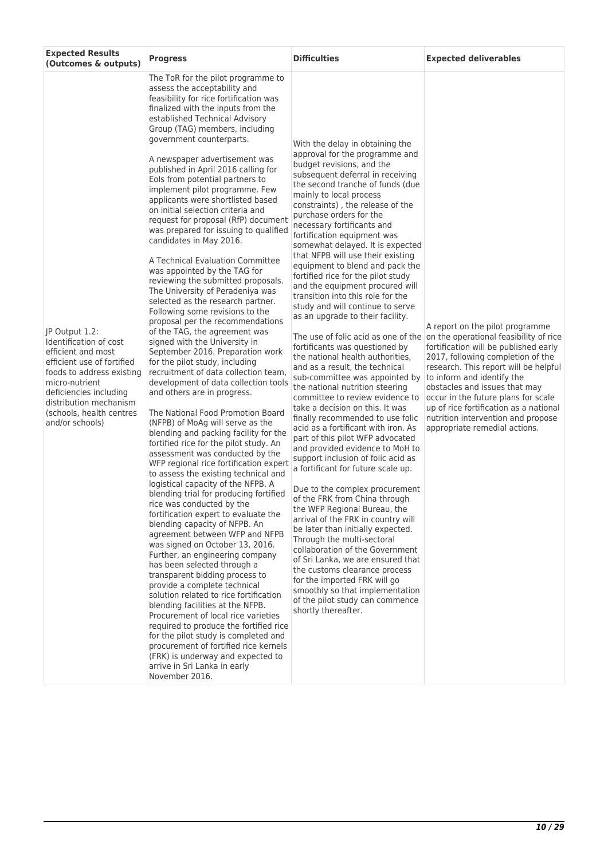| <b>Expected Results</b><br>(Outcomes & outputs)                                                                                                                                                                                                | <b>Progress</b>                                                                                                                                                                                                                                                                                                                                                                                                                                                                                                                                                                                                                                                                                                                                                                                                                                                                                                                                                                                                                                                                                                                                                                                                                                                                                                                                                                                                                                                                                                                                                                                                                                                                                                                                                                                                                                                                                                                                                                                                                                                                                                              | <b>Difficulties</b>                                                                                                                                                                                                                                                                                                                                                                                                                                                                                                                                                                                                                                                                                                                                                                                                                                                                                                                                                                                                                                                                                                                                                                                                                                                                                                                                                                                                                                                                                                                                                                                       | <b>Expected deliverables</b>                                                                                                                                                                                                                                                                                                                                                                                            |
|------------------------------------------------------------------------------------------------------------------------------------------------------------------------------------------------------------------------------------------------|------------------------------------------------------------------------------------------------------------------------------------------------------------------------------------------------------------------------------------------------------------------------------------------------------------------------------------------------------------------------------------------------------------------------------------------------------------------------------------------------------------------------------------------------------------------------------------------------------------------------------------------------------------------------------------------------------------------------------------------------------------------------------------------------------------------------------------------------------------------------------------------------------------------------------------------------------------------------------------------------------------------------------------------------------------------------------------------------------------------------------------------------------------------------------------------------------------------------------------------------------------------------------------------------------------------------------------------------------------------------------------------------------------------------------------------------------------------------------------------------------------------------------------------------------------------------------------------------------------------------------------------------------------------------------------------------------------------------------------------------------------------------------------------------------------------------------------------------------------------------------------------------------------------------------------------------------------------------------------------------------------------------------------------------------------------------------------------------------------------------------|-----------------------------------------------------------------------------------------------------------------------------------------------------------------------------------------------------------------------------------------------------------------------------------------------------------------------------------------------------------------------------------------------------------------------------------------------------------------------------------------------------------------------------------------------------------------------------------------------------------------------------------------------------------------------------------------------------------------------------------------------------------------------------------------------------------------------------------------------------------------------------------------------------------------------------------------------------------------------------------------------------------------------------------------------------------------------------------------------------------------------------------------------------------------------------------------------------------------------------------------------------------------------------------------------------------------------------------------------------------------------------------------------------------------------------------------------------------------------------------------------------------------------------------------------------------------------------------------------------------|-------------------------------------------------------------------------------------------------------------------------------------------------------------------------------------------------------------------------------------------------------------------------------------------------------------------------------------------------------------------------------------------------------------------------|
| JP Output 1.2:<br>Identification of cost<br>efficient and most<br>efficient use of fortified<br>foods to address existing<br>micro-nutrient<br>deficiencies including<br>distribution mechanism<br>(schools, health centres<br>and/or schools) | The ToR for the pilot programme to<br>assess the acceptability and<br>feasibility for rice fortification was<br>finalized with the inputs from the<br>established Technical Advisory<br>Group (TAG) members, including<br>government counterparts.<br>A newspaper advertisement was<br>published in April 2016 calling for<br>Eols from potential partners to<br>implement pilot programme. Few<br>applicants were shortlisted based<br>on initial selection criteria and<br>request for proposal (RfP) document<br>was prepared for issuing to qualified<br>candidates in May 2016.<br>A Technical Evaluation Committee<br>was appointed by the TAG for<br>reviewing the submitted proposals.<br>The University of Peradeniya was<br>selected as the research partner.<br>Following some revisions to the<br>proposal per the recommendations<br>of the TAG, the agreement was<br>signed with the University in<br>September 2016. Preparation work<br>for the pilot study, including<br>recruitment of data collection team,<br>development of data collection tools<br>and others are in progress.<br>The National Food Promotion Board<br>(NFPB) of MoAg will serve as the<br>blending and packing facility for the<br>fortified rice for the pilot study. An<br>assessment was conducted by the<br>WFP regional rice fortification expert<br>to assess the existing technical and<br>logistical capacity of the NFPB. A<br>blending trial for producing fortified<br>rice was conducted by the<br>fortification expert to evaluate the<br>blending capacity of NFPB. An<br>agreement between WFP and NFPB<br>was signed on October 13, 2016.<br>Further, an engineering company<br>has been selected through a<br>transparent bidding process to<br>provide a complete technical<br>solution related to rice fortification<br>blending facilities at the NFPB.<br>Procurement of local rice varieties<br>required to produce the fortified rice<br>for the pilot study is completed and<br>procurement of fortified rice kernels<br>(FRK) is underway and expected to<br>arrive in Sri Lanka in early<br>November 2016. | With the delay in obtaining the<br>approval for the programme and<br>budget revisions, and the<br>subsequent deferral in receiving<br>the second tranche of funds (due<br>mainly to local process<br>constraints), the release of the<br>purchase orders for the<br>necessary fortificants and<br>fortification equipment was<br>somewhat delayed. It is expected<br>that NFPB will use their existing<br>equipment to blend and pack the<br>fortified rice for the pilot study<br>and the equipment procured will<br>transition into this role for the<br>study and will continue to serve<br>as an upgrade to their facility.<br>The use of folic acid as one of the<br>fortificants was questioned by<br>the national health authorities,<br>and as a result, the technical<br>sub-committee was appointed by<br>the national nutrition steering<br>committee to review evidence to<br>take a decision on this. It was<br>finally recommended to use folic<br>acid as a fortificant with iron. As<br>part of this pilot WFP advocated<br>and provided evidence to MoH to<br>support inclusion of folic acid as<br>a fortificant for future scale up.<br>Due to the complex procurement<br>of the FRK from China through<br>the WFP Regional Bureau, the<br>arrival of the FRK in country will<br>be later than initially expected.<br>Through the multi-sectoral<br>collaboration of the Government<br>of Sri Lanka, we are ensured that<br>the customs clearance process<br>for the imported FRK will go<br>smoothly so that implementation<br>of the pilot study can commence<br>shortly thereafter. | A report on the pilot programme<br>on the operational feasibility of rice<br>fortification will be published early<br>2017, following completion of the<br>research. This report will be helpful<br>to inform and identify the<br>obstacles and issues that may<br>occur in the future plans for scale<br>up of rice fortification as a national<br>nutrition intervention and propose<br>appropriate remedial actions. |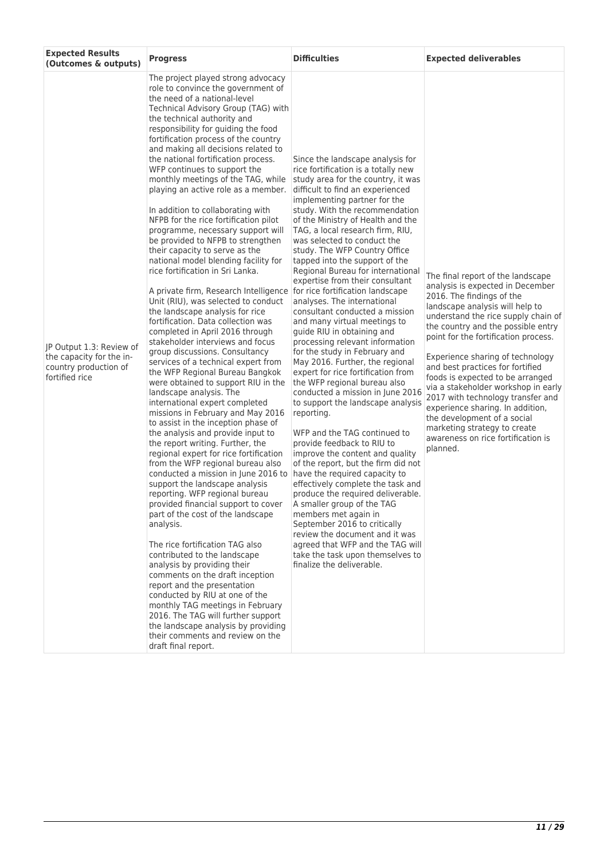| <b>Expected Results</b><br>(Outcomes & outputs)                                                 | <b>Progress</b>                                                                                                                                                                                                                                                                                                                                                                                                                                                                                                                                                                                                                                                                                                                                                                                                                                                                                                                                                                                                                                                                                                                                                                                                                                                                                                                                                                                                                                                                                                                                                                                                                                                                                                                                                                                                                                                                                                                                                                                          | <b>Difficulties</b>                                                                                                                                                                                                                                                                                                                                                                                                                                                                                                                                                                                                                                                                                                                                                                                                                                                                                                                                                                                                                                                                                                                                                                                                                                                                                                                                                                           | <b>Expected deliverables</b>                                                                                                                                                                                                                                                                                                                                                                                                                                                                                                                                                                            |
|-------------------------------------------------------------------------------------------------|----------------------------------------------------------------------------------------------------------------------------------------------------------------------------------------------------------------------------------------------------------------------------------------------------------------------------------------------------------------------------------------------------------------------------------------------------------------------------------------------------------------------------------------------------------------------------------------------------------------------------------------------------------------------------------------------------------------------------------------------------------------------------------------------------------------------------------------------------------------------------------------------------------------------------------------------------------------------------------------------------------------------------------------------------------------------------------------------------------------------------------------------------------------------------------------------------------------------------------------------------------------------------------------------------------------------------------------------------------------------------------------------------------------------------------------------------------------------------------------------------------------------------------------------------------------------------------------------------------------------------------------------------------------------------------------------------------------------------------------------------------------------------------------------------------------------------------------------------------------------------------------------------------------------------------------------------------------------------------------------------------|-----------------------------------------------------------------------------------------------------------------------------------------------------------------------------------------------------------------------------------------------------------------------------------------------------------------------------------------------------------------------------------------------------------------------------------------------------------------------------------------------------------------------------------------------------------------------------------------------------------------------------------------------------------------------------------------------------------------------------------------------------------------------------------------------------------------------------------------------------------------------------------------------------------------------------------------------------------------------------------------------------------------------------------------------------------------------------------------------------------------------------------------------------------------------------------------------------------------------------------------------------------------------------------------------------------------------------------------------------------------------------------------------|---------------------------------------------------------------------------------------------------------------------------------------------------------------------------------------------------------------------------------------------------------------------------------------------------------------------------------------------------------------------------------------------------------------------------------------------------------------------------------------------------------------------------------------------------------------------------------------------------------|
| JP Output 1.3: Review of<br>the capacity for the in-<br>country production of<br>fortified rice | The project played strong advocacy<br>role to convince the government of<br>the need of a national-level<br>Technical Advisory Group (TAG) with<br>the technical authority and<br>responsibility for guiding the food<br>fortification process of the country<br>and making all decisions related to<br>the national fortification process.<br>WFP continues to support the<br>monthly meetings of the TAG, while<br>playing an active role as a member.<br>In addition to collaborating with<br>NFPB for the rice fortification pilot<br>programme, necessary support will<br>be provided to NFPB to strengthen<br>their capacity to serve as the<br>national model blending facility for<br>rice fortification in Sri Lanka.<br>A private firm, Research Intelligence<br>Unit (RIU), was selected to conduct<br>the landscape analysis for rice<br>fortification. Data collection was<br>completed in April 2016 through<br>stakeholder interviews and focus<br>group discussions. Consultancy<br>services of a technical expert from<br>the WFP Regional Bureau Bangkok<br>were obtained to support RIU in the<br>landscape analysis. The<br>international expert completed<br>missions in February and May 2016<br>to assist in the inception phase of<br>the analysis and provide input to<br>the report writing. Further, the<br>regional expert for rice fortification<br>from the WFP regional bureau also<br>conducted a mission in June 2016 to<br>support the landscape analysis<br>reporting. WFP regional bureau<br>provided financial support to cover<br>part of the cost of the landscape<br>analysis.<br>The rice fortification TAG also<br>contributed to the landscape<br>analysis by providing their<br>comments on the draft inception<br>report and the presentation<br>conducted by RIU at one of the<br>monthly TAG meetings in February<br>2016. The TAG will further support<br>the landscape analysis by providing<br>their comments and review on the<br>draft final report. | Since the landscape analysis for<br>rice fortification is a totally new<br>study area for the country, it was<br>difficult to find an experienced<br>implementing partner for the<br>study. With the recommendation<br>of the Ministry of Health and the<br>TAG, a local research firm, RIU,<br>was selected to conduct the<br>study. The WFP Country Office<br>tapped into the support of the<br>Regional Bureau for international<br>expertise from their consultant<br>for rice fortification landscape<br>analyses. The international<br>consultant conducted a mission<br>and many virtual meetings to<br>guide RIU in obtaining and<br>processing relevant information<br>for the study in February and<br>May 2016. Further, the regional<br>expert for rice fortification from<br>the WFP regional bureau also<br>conducted a mission in June 2016<br>to support the landscape analysis<br>reporting.<br>WFP and the TAG continued to<br>provide feedback to RIU to<br>improve the content and quality<br>of the report, but the firm did not<br>have the required capacity to<br>effectively complete the task and<br>produce the required deliverable.<br>A smaller group of the TAG<br>members met again in<br>September 2016 to critically<br>review the document and it was<br>agreed that WFP and the TAG will<br>take the task upon themselves to<br>finalize the deliverable. | The final report of the landscape<br>analysis is expected in December<br>2016. The findings of the<br>landscape analysis will help to<br>understand the rice supply chain of<br>the country and the possible entry<br>point for the fortification process.<br>Experience sharing of technology<br>and best practices for fortified<br>foods is expected to be arranged<br>via a stakeholder workshop in early<br>2017 with technology transfer and<br>experience sharing. In addition,<br>the development of a social<br>marketing strategy to create<br>awareness on rice fortification is<br>planned. |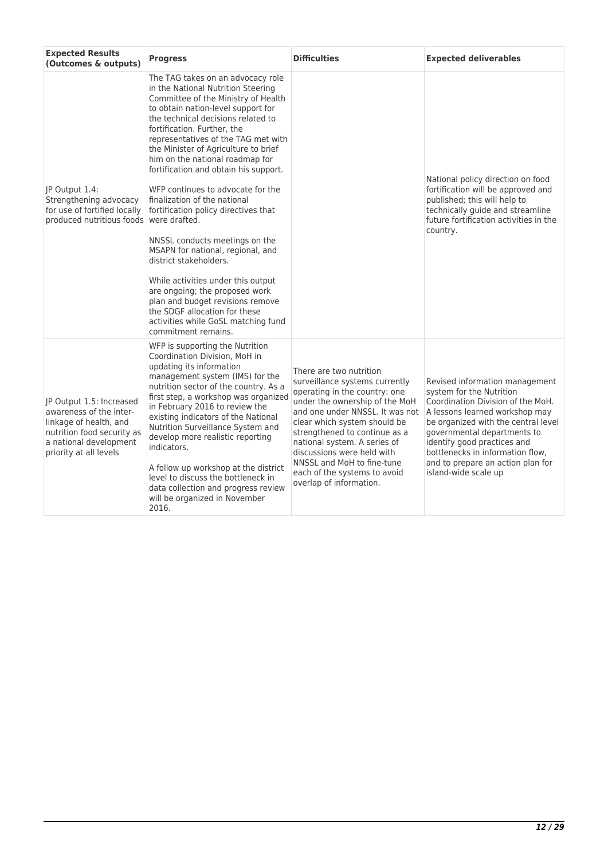| <b>Expected Results</b><br>(Outcomes & outputs)                                                                                                                 | <b>Progress</b>                                                                                                                                                                                                                                                                                                                                                                                                                                                                                                                                                                                                                                                                                                                                                                                               | <b>Difficulties</b>                                                                                                                                                                                                                                                                                                                                                                     | <b>Expected deliverables</b>                                                                                                                                                                                                                                                                                                            |
|-----------------------------------------------------------------------------------------------------------------------------------------------------------------|---------------------------------------------------------------------------------------------------------------------------------------------------------------------------------------------------------------------------------------------------------------------------------------------------------------------------------------------------------------------------------------------------------------------------------------------------------------------------------------------------------------------------------------------------------------------------------------------------------------------------------------------------------------------------------------------------------------------------------------------------------------------------------------------------------------|-----------------------------------------------------------------------------------------------------------------------------------------------------------------------------------------------------------------------------------------------------------------------------------------------------------------------------------------------------------------------------------------|-----------------------------------------------------------------------------------------------------------------------------------------------------------------------------------------------------------------------------------------------------------------------------------------------------------------------------------------|
| JP Output 1.4:<br>Strengthening advocacy<br>for use of fortified locally<br>produced nutritious foods were drafted.                                             | The TAG takes on an advocacy role<br>in the National Nutrition Steering<br>Committee of the Ministry of Health<br>to obtain nation-level support for<br>the technical decisions related to<br>fortification. Further, the<br>representatives of the TAG met with<br>the Minister of Agriculture to brief<br>him on the national roadmap for<br>fortification and obtain his support.<br>WFP continues to advocate for the<br>finalization of the national<br>fortification policy directives that<br>NNSSL conducts meetings on the<br>MSAPN for national, regional, and<br>district stakeholders.<br>While activities under this output<br>are ongoing; the proposed work<br>plan and budget revisions remove<br>the SDGF allocation for these<br>activities while GoSL matching fund<br>commitment remains. |                                                                                                                                                                                                                                                                                                                                                                                         | National policy direction on food<br>fortification will be approved and<br>published; this will help to<br>technically guide and streamline<br>future fortification activities in the<br>country.                                                                                                                                       |
| IP Output 1.5: Increased<br>awareness of the inter-<br>linkage of health, and<br>nutrition food security as<br>a national development<br>priority at all levels | WFP is supporting the Nutrition<br>Coordination Division, MoH in<br>updating its information<br>management system (IMS) for the<br>nutrition sector of the country. As a<br>first step, a workshop was organized<br>in February 2016 to review the<br>existing indicators of the National<br>Nutrition Surveillance System and<br>develop more realistic reporting<br>indicators.<br>A follow up workshop at the district<br>level to discuss the bottleneck in<br>data collection and progress review<br>will be organized in November<br>2016.                                                                                                                                                                                                                                                              | There are two nutrition<br>surveillance systems currently<br>operating in the country: one<br>under the ownership of the MoH<br>and one under NNSSL. It was not<br>clear which system should be<br>strengthened to continue as a<br>national system. A series of<br>discussions were held with<br>NNSSL and MoH to fine-tune<br>each of the systems to avoid<br>overlap of information. | Revised information management<br>system for the Nutrition<br>Coordination Division of the MoH.<br>A lessons learned workshop may<br>be organized with the central level<br>governmental departments to<br>identify good practices and<br>bottlenecks in information flow,<br>and to prepare an action plan for<br>island-wide scale up |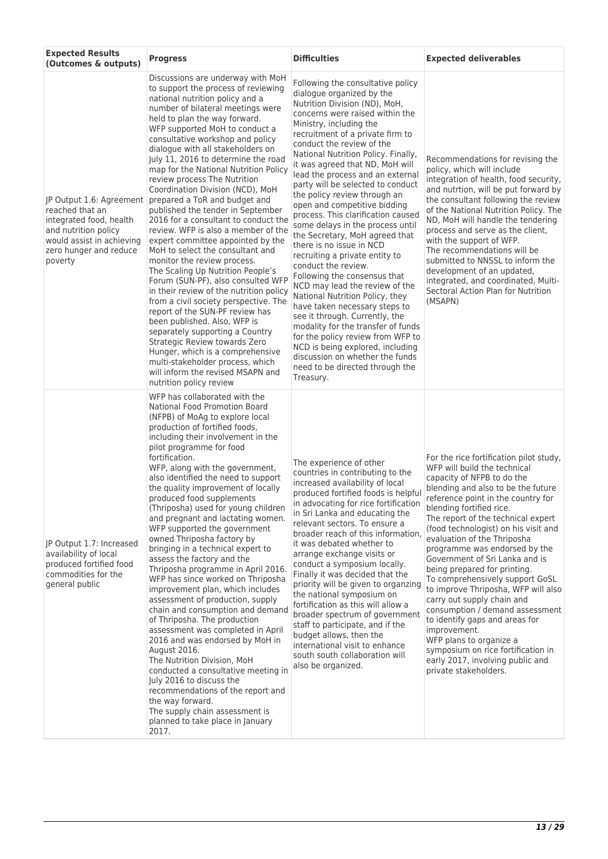| <b>Expected Results</b><br>(Outcomes & outputs)                                                                                                                  | <b>Progress</b>                                                                                                                                                                                                                                                                                                                                                                                                                                                                                                                                                                                                                                                                                                                                                                                                                                                                                                                                                                                                                                                                                                                                             | <b>Difficulties</b>                                                                                                                                                                                                                                                                                                                                                                                                                                                                                                                                                                                                                                                                                                                                                                                                                                                                                                                                                                                                          | <b>Expected deliverables</b>                                                                                                                                                                                                                                                                                                                                                                                                                                                                                                                                                                                                                                                                                                                             |
|------------------------------------------------------------------------------------------------------------------------------------------------------------------|-------------------------------------------------------------------------------------------------------------------------------------------------------------------------------------------------------------------------------------------------------------------------------------------------------------------------------------------------------------------------------------------------------------------------------------------------------------------------------------------------------------------------------------------------------------------------------------------------------------------------------------------------------------------------------------------------------------------------------------------------------------------------------------------------------------------------------------------------------------------------------------------------------------------------------------------------------------------------------------------------------------------------------------------------------------------------------------------------------------------------------------------------------------|------------------------------------------------------------------------------------------------------------------------------------------------------------------------------------------------------------------------------------------------------------------------------------------------------------------------------------------------------------------------------------------------------------------------------------------------------------------------------------------------------------------------------------------------------------------------------------------------------------------------------------------------------------------------------------------------------------------------------------------------------------------------------------------------------------------------------------------------------------------------------------------------------------------------------------------------------------------------------------------------------------------------------|----------------------------------------------------------------------------------------------------------------------------------------------------------------------------------------------------------------------------------------------------------------------------------------------------------------------------------------------------------------------------------------------------------------------------------------------------------------------------------------------------------------------------------------------------------------------------------------------------------------------------------------------------------------------------------------------------------------------------------------------------------|
| JP Output 1.6: Agreement<br>reached that an<br>integrated food, health<br>and nutrition policy<br>would assist in achieving<br>zero hunger and reduce<br>poverty | Discussions are underway with MoH<br>to support the process of reviewing<br>national nutrition policy and a<br>number of bilateral meetings were<br>held to plan the way forward.<br>WFP supported MoH to conduct a<br>consultative workshop and policy<br>dialogue with all stakeholders on<br>July 11, 2016 to determine the road<br>map for the National Nutrition Policy<br>review process The Nutrition<br>Coordination Division (NCD), MoH<br>prepared a ToR and budget and<br>published the tender in September<br>2016 for a consultant to conduct the<br>review. WFP is also a member of the<br>expert committee appointed by the<br>MoH to select the consultant and<br>monitor the review process.<br>The Scaling Up Nutrition People's<br>Forum (SUN-PF), also consulted WFP<br>in their review of the nutrition policy<br>from a civil society perspective. The<br>report of the SUN-PF review has<br>been published. Also, WFP is<br>separately supporting a Country<br>Strategic Review towards Zero<br>Hunger, which is a comprehensive<br>multi-stakeholder process, which<br>will inform the revised MSAPN and<br>nutrition policy review | Following the consultative policy<br>dialogue organized by the<br>Nutrition Division (ND), MoH,<br>concerns were raised within the<br>Ministry, including the<br>recruitment of a private firm to<br>conduct the review of the<br>National Nutrition Policy. Finally,<br>it was agreed that ND, MoH will<br>lead the process and an external<br>party will be selected to conduct<br>the policy review through an<br>open and competitive bidding<br>process. This clarification caused<br>some delays in the process until<br>the Secretary, MoH agreed that<br>there is no issue in NCD<br>recruiting a private entity to<br>conduct the review.<br>Following the consensus that<br>NCD may lead the review of the<br>National Nutrition Policy, they<br>have taken necessary steps to<br>see it through. Currently, the<br>modality for the transfer of funds<br>for the policy review from WFP to<br>NCD is being explored, including<br>discussion on whether the funds<br>need to be directed through the<br>Treasury. | Recommendations for revising the<br>policy, which will include<br>integration of health, food security,<br>and nutrtion, will be put forward by<br>the consultant following the review<br>of the National Nutrition Policy. The<br>ND, MoH will handle the tendering<br>process and serve as the client,<br>with the support of WFP.<br>The recommendations will be<br>submitted to NNSSL to inform the<br>development of an updated,<br>integrated, and coordinated, Multi-<br>Sectoral Action Plan for Nutrition<br>(MSAPN)                                                                                                                                                                                                                            |
| JP Output 1.7: Increased<br>availability of local<br>produced fortified food<br>commodities for the<br>general public                                            | WFP has collaborated with the<br>National Food Promotion Board<br>(NFPB) of MoAg to explore local<br>production of fortified foods,<br>including their involvement in the<br>pilot programme for food<br>fortification.<br>WFP, along with the government,<br>also identified the need to support<br>the quality improvement of locally<br>produced food supplements<br>(Thriposha) used for young children<br>and pregnant and lactating women.<br>WFP supported the government<br>owned Thriposha factory by<br>bringing in a technical expert to<br>assess the factory and the<br>Thriposha programme in April 2016.<br>WFP has since worked on Thriposha<br>improvement plan, which includes<br>assessment of production, supply<br>chain and consumption and demand<br>of Thriposha. The production<br>assessment was completed in April<br>2016 and was endorsed by MoH in<br>August 2016.<br>The Nutrition Division, MoH<br>conducted a consultative meeting in<br>July 2016 to discuss the<br>recommendations of the report and<br>the way forward.<br>The supply chain assessment is<br>planned to take place in January<br>2017.                  | The experience of other<br>countries in contributing to the<br>increased availability of local<br>produced fortified foods is helpful<br>in advocating for rice fortification<br>in Sri Lanka and educating the<br>relevant sectors. To ensure a<br>broader reach of this information,<br>it was debated whether to<br>arrange exchange visits or<br>conduct a symposium locally.<br>Finally it was decided that the<br>priority will be given to organzing<br>the national symposium on<br>fortification as this will allow a<br>broader spectrum of government<br>staff to participate, and if the<br>budget allows, then the<br>international visit to enhance<br>south south collaboration will<br>also be organized.                                                                                                                                                                                                                                                                                                    | For the rice fortification pilot study,<br>WFP will build the technical<br>capacity of NFPB to do the<br>blending and also to be the future<br>reference point in the country for<br>blending fortified rice.<br>The report of the technical expert<br>(food technologist) on his visit and<br>evaluation of the Thriposha<br>programme was endorsed by the<br>Government of Sri Lanka and is<br>being prepared for printing.<br>To comprehensively support GoSL<br>to improve Thriposha, WFP will also<br>carry out supply chain and<br>consumption / demand assessment<br>to identify gaps and areas for<br>improvement.<br>WFP plans to organize a<br>symposium on rice fortification in<br>early 2017, involving public and<br>private stakeholders. |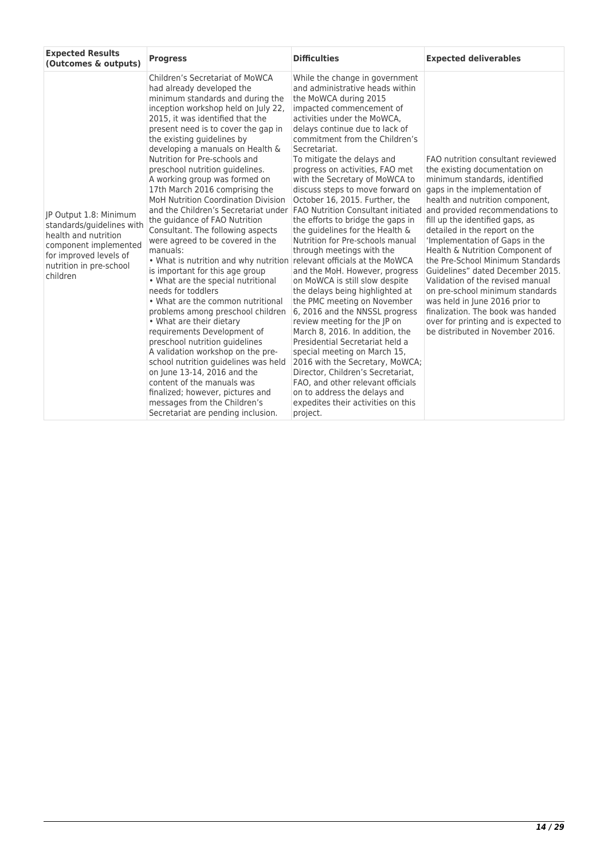| <b>Expected Results</b><br>(Outcomes & outputs)                                                                                                                       | <b>Progress</b>                                                                                                                                                                                                                                                                                                                                                                                                                                                                                                                                                                                                                                                                                                                                                                                                                                                                                                                                                                                                                                                                                                                                                                                            | <b>Difficulties</b>                                                                                                                                                                                                                                                                                                                                                                                                                                                                                                                                                                                                                                                                                                                                                                                                                                                                                                                                                                                                                                                                                                                                      | <b>Expected deliverables</b>                                                                                                                                                                                                                                                                                                                                                                                                                                                                                                                                                                                                                          |
|-----------------------------------------------------------------------------------------------------------------------------------------------------------------------|------------------------------------------------------------------------------------------------------------------------------------------------------------------------------------------------------------------------------------------------------------------------------------------------------------------------------------------------------------------------------------------------------------------------------------------------------------------------------------------------------------------------------------------------------------------------------------------------------------------------------------------------------------------------------------------------------------------------------------------------------------------------------------------------------------------------------------------------------------------------------------------------------------------------------------------------------------------------------------------------------------------------------------------------------------------------------------------------------------------------------------------------------------------------------------------------------------|----------------------------------------------------------------------------------------------------------------------------------------------------------------------------------------------------------------------------------------------------------------------------------------------------------------------------------------------------------------------------------------------------------------------------------------------------------------------------------------------------------------------------------------------------------------------------------------------------------------------------------------------------------------------------------------------------------------------------------------------------------------------------------------------------------------------------------------------------------------------------------------------------------------------------------------------------------------------------------------------------------------------------------------------------------------------------------------------------------------------------------------------------------|-------------------------------------------------------------------------------------------------------------------------------------------------------------------------------------------------------------------------------------------------------------------------------------------------------------------------------------------------------------------------------------------------------------------------------------------------------------------------------------------------------------------------------------------------------------------------------------------------------------------------------------------------------|
| JP Output 1.8: Minimum<br>standards/guidelines with<br>health and nutrition<br>component implemented<br>for improved levels of<br>nutrition in pre-school<br>children | Children's Secretariat of MoWCA<br>had already developed the<br>minimum standards and during the<br>inception workshop held on July 22,<br>2015, it was identified that the<br>present need is to cover the gap in<br>the existing guidelines by<br>developing a manuals on Health &<br>Nutrition for Pre-schools and<br>preschool nutrition quidelines.<br>A working group was formed on<br>17th March 2016 comprising the<br><b>MoH Nutrition Coordination Division</b><br>and the Children's Secretariat under<br>the guidance of FAO Nutrition<br>Consultant. The following aspects<br>were agreed to be covered in the<br>manuals:<br>• What is nutrition and why nutrition<br>is important for this age group<br>• What are the special nutritional<br>needs for toddlers<br>• What are the common nutritional<br>problems among preschool children<br>• What are their dietary<br>requirements Development of<br>preschool nutrition guidelines<br>A validation workshop on the pre-<br>school nutrition quidelines was held<br>on June 13-14, 2016 and the<br>content of the manuals was<br>finalized; however, pictures and<br>messages from the Children's<br>Secretariat are pending inclusion. | While the change in government<br>and administrative heads within<br>the MoWCA during 2015<br>impacted commencement of<br>activities under the MoWCA,<br>delays continue due to lack of<br>commitment from the Children's<br>Secretariat.<br>To mitigate the delays and<br>progress on activities, FAO met<br>with the Secretary of MoWCA to<br>discuss steps to move forward on<br>October 16, 2015. Further, the<br><b>FAO Nutrition Consultant initiated</b><br>the efforts to bridge the gaps in<br>the guidelines for the Health &<br>Nutrition for Pre-schools manual<br>through meetings with the<br>relevant officials at the MoWCA<br>and the MoH. However, progress<br>on MoWCA is still slow despite<br>the delays being highlighted at<br>the PMC meeting on November<br>6, 2016 and the NNSSL progress<br>review meeting for the JP on<br>March 8, 2016. In addition, the<br>Presidential Secretariat held a<br>special meeting on March 15,<br>2016 with the Secretary, MoWCA;<br>Director, Children's Secretariat,<br>FAO, and other relevant officials<br>on to address the delays and<br>expedites their activities on this<br>project. | FAO nutrition consultant reviewed<br>the existing documentation on<br>minimum standards, identified<br>gaps in the implementation of<br>health and nutrition component,<br>and provided recommendations to<br>fill up the identified gaps, as<br>detailed in the report on the<br>'Implementation of Gaps in the<br>Health & Nutrition Component of<br>the Pre-School Minimum Standards<br>Guidelines" dated December 2015.<br>Validation of the revised manual<br>on pre-school minimum standards<br>was held in June 2016 prior to<br>finalization. The book was handed<br>over for printing and is expected to<br>be distributed in November 2016. |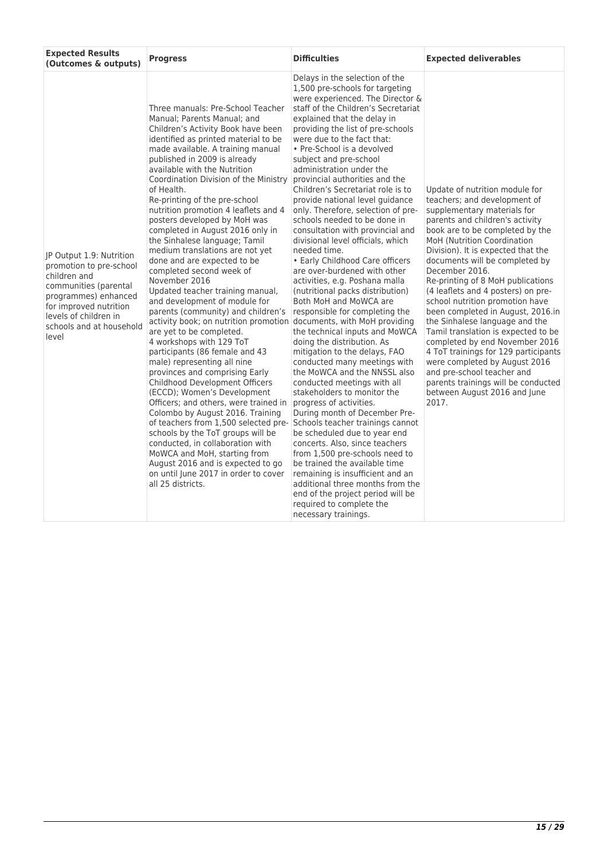| <b>Expected Results</b><br>(Outcomes & outputs)                                                                                                                                                              | <b>Progress</b>                                                                                                                                                                                                                                                                                                                                                                                                                                                                                                                                                                                                                                                                                                                                                                                                                                                                                                                                                                                                                                                                                                                                                                                                                                                                                                                                       | <b>Difficulties</b>                                                                                                                                                                                                                                                                                                                                                                                                                                                                                                                                                                                                                                                                                                                                                                                                                                                                                                                                                                                                                                                                                                                                                                                                                                                                                                                                                                                                                                   | <b>Expected deliverables</b>                                                                                                                                                                                                                                                                                                                                                                                                                                                                                                                                                                                                                                                                                                                      |
|--------------------------------------------------------------------------------------------------------------------------------------------------------------------------------------------------------------|-------------------------------------------------------------------------------------------------------------------------------------------------------------------------------------------------------------------------------------------------------------------------------------------------------------------------------------------------------------------------------------------------------------------------------------------------------------------------------------------------------------------------------------------------------------------------------------------------------------------------------------------------------------------------------------------------------------------------------------------------------------------------------------------------------------------------------------------------------------------------------------------------------------------------------------------------------------------------------------------------------------------------------------------------------------------------------------------------------------------------------------------------------------------------------------------------------------------------------------------------------------------------------------------------------------------------------------------------------|-------------------------------------------------------------------------------------------------------------------------------------------------------------------------------------------------------------------------------------------------------------------------------------------------------------------------------------------------------------------------------------------------------------------------------------------------------------------------------------------------------------------------------------------------------------------------------------------------------------------------------------------------------------------------------------------------------------------------------------------------------------------------------------------------------------------------------------------------------------------------------------------------------------------------------------------------------------------------------------------------------------------------------------------------------------------------------------------------------------------------------------------------------------------------------------------------------------------------------------------------------------------------------------------------------------------------------------------------------------------------------------------------------------------------------------------------------|---------------------------------------------------------------------------------------------------------------------------------------------------------------------------------------------------------------------------------------------------------------------------------------------------------------------------------------------------------------------------------------------------------------------------------------------------------------------------------------------------------------------------------------------------------------------------------------------------------------------------------------------------------------------------------------------------------------------------------------------------|
| JP Output 1.9: Nutrition<br>promotion to pre-school<br>children and<br>communities (parental<br>programmes) enhanced<br>for improved nutrition<br>levels of children in<br>schools and at household<br>level | Three manuals: Pre-School Teacher<br>Manual; Parents Manual; and<br>Children's Activity Book have been<br>identified as printed material to be<br>made available. A training manual<br>published in 2009 is already<br>available with the Nutrition<br>Coordination Division of the Ministry<br>of Health.<br>Re-printing of the pre-school<br>nutrition promotion 4 leaflets and 4<br>posters developed by MoH was<br>completed in August 2016 only in<br>the Sinhalese language; Tamil<br>medium translations are not yet<br>done and are expected to be<br>completed second week of<br>November 2016<br>Updated teacher training manual,<br>and development of module for<br>parents (community) and children's<br>activity book; on nutrition promotion documents, with MoH providing<br>are yet to be completed.<br>4 workshops with 129 ToT<br>participants (86 female and 43<br>male) representing all nine<br>provinces and comprising Early<br>Childhood Development Officers<br>(ECCD); Women's Development<br>Officers; and others, were trained in<br>Colombo by August 2016. Training<br>of teachers from 1,500 selected pre-<br>schools by the ToT groups will be<br>conducted, in collaboration with<br>MoWCA and MoH, starting from<br>August 2016 and is expected to go<br>on until June 2017 in order to cover<br>all 25 districts. | Delays in the selection of the<br>1,500 pre-schools for targeting<br>were experienced. The Director &<br>staff of the Children's Secretariat<br>explained that the delay in<br>providing the list of pre-schools<br>were due to the fact that:<br>• Pre-School is a devolved<br>subject and pre-school<br>administration under the<br>provincial authorities and the<br>Children's Secretariat role is to<br>provide national level guidance<br>only. Therefore, selection of pre-<br>schools needed to be done in<br>consultation with provincial and<br>divisional level officials, which<br>needed time.<br>• Early Childhood Care officers<br>are over-burdened with other<br>activities, e.g. Poshana malla<br>(nutritional packs distribution)<br>Both MoH and MoWCA are<br>responsible for completing the<br>the technical inputs and MoWCA<br>doing the distribution. As<br>mitigation to the delays, FAO<br>conducted many meetings with<br>the MoWCA and the NNSSL also<br>conducted meetings with all<br>stakeholders to monitor the<br>progress of activities.<br>During month of December Pre-<br>Schools teacher trainings cannot<br>be scheduled due to year end<br>concerts. Also, since teachers<br>from 1,500 pre-schools need to<br>be trained the available time<br>remaining is insufficient and an<br>additional three months from the<br>end of the project period will be<br>required to complete the<br>necessary trainings. | Update of nutrition module for<br>teachers; and development of<br>supplementary materials for<br>parents and children's activity<br>book are to be completed by the<br>MoH (Nutrition Coordination<br>Division). It is expected that the<br>documents will be completed by<br>December 2016.<br>Re-printing of 8 MoH publications<br>(4 leaflets and 4 posters) on pre-<br>school nutrition promotion have<br>been completed in August, 2016.in<br>the Sinhalese language and the<br>Tamil translation is expected to be<br>completed by end November 2016<br>4 ToT trainings for 129 participants<br>were completed by August 2016<br>and pre-school teacher and<br>parents trainings will be conducted<br>between August 2016 and June<br>2017. |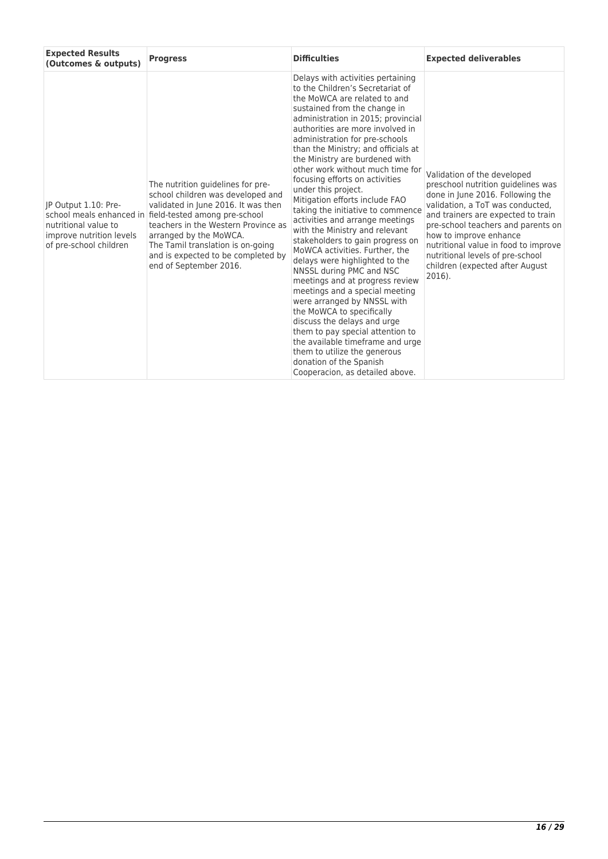| <b>Expected Results</b><br>(Outcomes & outputs)                                                    | <b>Progress</b>                                                                                                                                                                                                                                                                                                                               | <b>Difficulties</b>                                                                                                                                                                                                                                                                                                                                                                                                                                                                                                                                                                                                                                                                                                                                                                                                                                                                                                                                                                                                                           | <b>Expected deliverables</b>                                                                                                                                                                                                                                                                                                                                                |
|----------------------------------------------------------------------------------------------------|-----------------------------------------------------------------------------------------------------------------------------------------------------------------------------------------------------------------------------------------------------------------------------------------------------------------------------------------------|-----------------------------------------------------------------------------------------------------------------------------------------------------------------------------------------------------------------------------------------------------------------------------------------------------------------------------------------------------------------------------------------------------------------------------------------------------------------------------------------------------------------------------------------------------------------------------------------------------------------------------------------------------------------------------------------------------------------------------------------------------------------------------------------------------------------------------------------------------------------------------------------------------------------------------------------------------------------------------------------------------------------------------------------------|-----------------------------------------------------------------------------------------------------------------------------------------------------------------------------------------------------------------------------------------------------------------------------------------------------------------------------------------------------------------------------|
| IP Output 1.10: Pre-<br>nutritional value to<br>improve nutrition levels<br>of pre-school children | The nutrition guidelines for pre-<br>school children was developed and<br>validated in June 2016. It was then<br>school meals enhanced in field-tested among pre-school<br>teachers in the Western Province as<br>arranged by the MoWCA.<br>The Tamil translation is on-going<br>and is expected to be completed by<br>end of September 2016. | Delays with activities pertaining<br>to the Children's Secretariat of<br>the MoWCA are related to and<br>sustained from the change in<br>administration in 2015; provincial<br>authorities are more involved in<br>administration for pre-schools<br>than the Ministry; and officials at<br>the Ministry are burdened with<br>other work without much time for<br>focusing efforts on activities<br>under this project.<br>Mitigation efforts include FAO<br>taking the initiative to commence<br>activities and arrange meetings<br>with the Ministry and relevant<br>stakeholders to gain progress on<br>MoWCA activities. Further, the<br>delays were highlighted to the<br>NNSSL during PMC and NSC<br>meetings and at progress review<br>meetings and a special meeting<br>were arranged by NNSSL with<br>the MoWCA to specifically<br>discuss the delays and urge<br>them to pay special attention to<br>the available timeframe and urge<br>them to utilize the generous<br>donation of the Spanish<br>Cooperacion, as detailed above. | Validation of the developed<br>preschool nutrition guidelines was<br>done in June 2016. Following the<br>validation, a ToT was conducted.<br>and trainers are expected to train<br>pre-school teachers and parents on<br>how to improve enhance<br>nutritional value in food to improve<br>nutritional levels of pre-school<br>children (expected after August<br>$2016$ ). |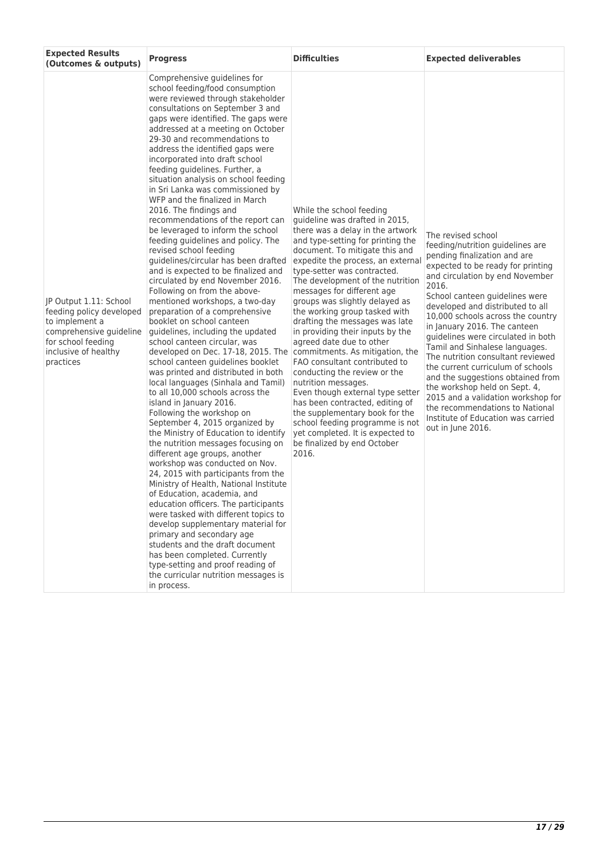| <b>Expected Results</b><br>(Outcomes & outputs)                                                                                                            | <b>Progress</b>                                                                                                                                                                                                                                                                                                                                                                                                                                                                                                                                                                                                                                                                                                                                                                                                                                                                                                                                                                                                                                                                                                                                                                                                                                                                                                                                                                                                                                                                                                                                                                                                                                                                                                                                                                                                                                     | <b>Difficulties</b>                                                                                                                                                                                                                                                                                                                                                                                                                                                                                                                                                                                                                                                                                                                                                                                                                 | <b>Expected deliverables</b>                                                                                                                                                                                                                                                                                                                                                                                                                                                                                                                                                                                                                                                   |
|------------------------------------------------------------------------------------------------------------------------------------------------------------|-----------------------------------------------------------------------------------------------------------------------------------------------------------------------------------------------------------------------------------------------------------------------------------------------------------------------------------------------------------------------------------------------------------------------------------------------------------------------------------------------------------------------------------------------------------------------------------------------------------------------------------------------------------------------------------------------------------------------------------------------------------------------------------------------------------------------------------------------------------------------------------------------------------------------------------------------------------------------------------------------------------------------------------------------------------------------------------------------------------------------------------------------------------------------------------------------------------------------------------------------------------------------------------------------------------------------------------------------------------------------------------------------------------------------------------------------------------------------------------------------------------------------------------------------------------------------------------------------------------------------------------------------------------------------------------------------------------------------------------------------------------------------------------------------------------------------------------------------------|-------------------------------------------------------------------------------------------------------------------------------------------------------------------------------------------------------------------------------------------------------------------------------------------------------------------------------------------------------------------------------------------------------------------------------------------------------------------------------------------------------------------------------------------------------------------------------------------------------------------------------------------------------------------------------------------------------------------------------------------------------------------------------------------------------------------------------------|--------------------------------------------------------------------------------------------------------------------------------------------------------------------------------------------------------------------------------------------------------------------------------------------------------------------------------------------------------------------------------------------------------------------------------------------------------------------------------------------------------------------------------------------------------------------------------------------------------------------------------------------------------------------------------|
| JP Output 1.11: School<br>feeding policy developed<br>to implement a<br>comprehensive quideline<br>for school feeding<br>inclusive of healthy<br>practices | Comprehensive guidelines for<br>school feeding/food consumption<br>were reviewed through stakeholder<br>consultations on September 3 and<br>gaps were identified. The gaps were<br>addressed at a meeting on October<br>29-30 and recommendations to<br>address the identified gaps were<br>incorporated into draft school<br>feeding guidelines. Further, a<br>situation analysis on school feeding<br>in Sri Lanka was commissioned by<br>WFP and the finalized in March<br>2016. The findings and<br>recommendations of the report can<br>be leveraged to inform the school<br>feeding guidelines and policy. The<br>revised school feeding<br>quidelines/circular has been drafted<br>and is expected to be finalized and<br>circulated by end November 2016.<br>Following on from the above-<br>mentioned workshops, a two-day<br>preparation of a comprehensive<br>booklet on school canteen<br>quidelines, including the updated<br>school canteen circular, was<br>developed on Dec. 17-18, 2015. The<br>school canteen guidelines booklet<br>was printed and distributed in both<br>local languages (Sinhala and Tamil)<br>to all 10,000 schools across the<br>island in January 2016.<br>Following the workshop on<br>September 4, 2015 organized by<br>the Ministry of Education to identify<br>the nutrition messages focusing on<br>different age groups, another<br>workshop was conducted on Nov.<br>24, 2015 with participants from the<br>Ministry of Health, National Institute<br>of Education, academia, and<br>education officers. The participants<br>were tasked with different topics to<br>develop supplementary material for<br>primary and secondary age<br>students and the draft document<br>has been completed. Currently<br>type-setting and proof reading of<br>the curricular nutrition messages is<br>in process. | While the school feeding<br>guideline was drafted in 2015,<br>there was a delay in the artwork<br>and type-setting for printing the<br>document. To mitigate this and<br>expedite the process, an external<br>type-setter was contracted.<br>The development of the nutrition<br>messages for different age<br>groups was slightly delayed as<br>the working group tasked with<br>drafting the messages was late<br>in providing their inputs by the<br>agreed date due to other<br>commitments. As mitigation, the<br>FAO consultant contributed to<br>conducting the review or the<br>nutrition messages.<br>Even though external type setter<br>has been contracted, editing of<br>the supplementary book for the<br>school feeding programme is not<br>yet completed. It is expected to<br>be finalized by end October<br>2016. | The revised school<br>feeding/nutrition guidelines are<br>pending finalization and are<br>expected to be ready for printing<br>and circulation by end November<br>2016.<br>School canteen quidelines were<br>developed and distributed to all<br>10,000 schools across the country<br>in January 2016. The canteen<br>quidelines were circulated in both<br>Tamil and Sinhalese languages.<br>The nutrition consultant reviewed<br>the current curriculum of schools<br>and the suggestions obtained from<br>the workshop held on Sept. 4,<br>2015 and a validation workshop for<br>the recommendations to National<br>Institute of Education was carried<br>out in June 2016. |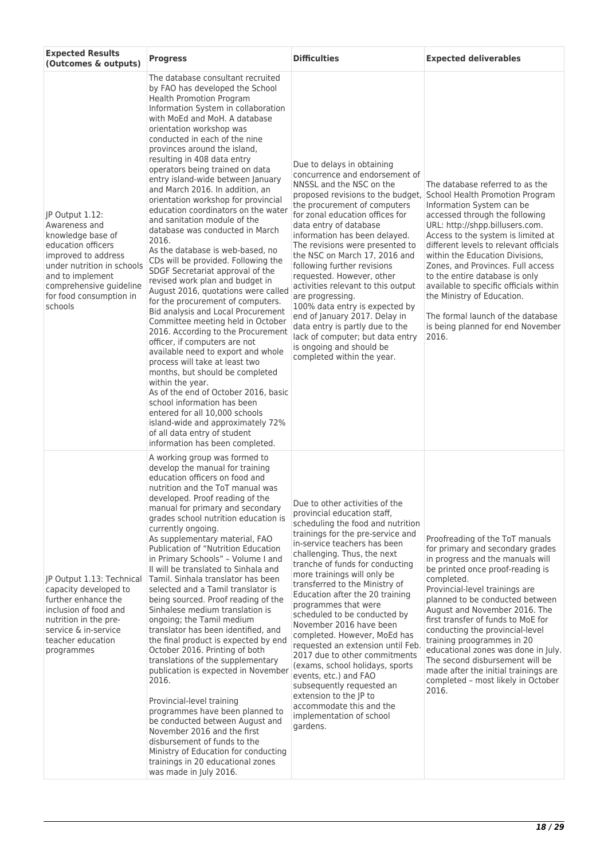| <b>Expected Results</b><br>(Outcomes & outputs)                                                                                                                                                                       | <b>Progress</b>                                                                                                                                                                                                                                                                                                                                                                                                                                                                                                                                                                                                                                                                                                                                                                                                                                                                                                                                                                                                                                                                                                                                                                                                                                                                                           | <b>Difficulties</b>                                                                                                                                                                                                                                                                                                                                                                                                                                                                                                                                                                                                                                                                                                           | <b>Expected deliverables</b>                                                                                                                                                                                                                                                                                                                                                                                                                                                                                                            |
|-----------------------------------------------------------------------------------------------------------------------------------------------------------------------------------------------------------------------|-----------------------------------------------------------------------------------------------------------------------------------------------------------------------------------------------------------------------------------------------------------------------------------------------------------------------------------------------------------------------------------------------------------------------------------------------------------------------------------------------------------------------------------------------------------------------------------------------------------------------------------------------------------------------------------------------------------------------------------------------------------------------------------------------------------------------------------------------------------------------------------------------------------------------------------------------------------------------------------------------------------------------------------------------------------------------------------------------------------------------------------------------------------------------------------------------------------------------------------------------------------------------------------------------------------|-------------------------------------------------------------------------------------------------------------------------------------------------------------------------------------------------------------------------------------------------------------------------------------------------------------------------------------------------------------------------------------------------------------------------------------------------------------------------------------------------------------------------------------------------------------------------------------------------------------------------------------------------------------------------------------------------------------------------------|-----------------------------------------------------------------------------------------------------------------------------------------------------------------------------------------------------------------------------------------------------------------------------------------------------------------------------------------------------------------------------------------------------------------------------------------------------------------------------------------------------------------------------------------|
| JP Output 1.12:<br>Awareness and<br>knowledge base of<br>education officers<br>improved to address<br>under nutrition in schools<br>and to implement<br>comprehensive guideline<br>for food consumption in<br>schools | The database consultant recruited<br>by FAO has developed the School<br>Health Promotion Program<br>Information System in collaboration<br>with MoEd and MoH. A database<br>orientation workshop was<br>conducted in each of the nine<br>provinces around the island,<br>resulting in 408 data entry<br>operators being trained on data<br>entry island-wide between January<br>and March 2016. In addition, an<br>orientation workshop for provincial<br>education coordinators on the water<br>and sanitation module of the<br>database was conducted in March<br>2016.<br>As the database is web-based, no<br>CDs will be provided. Following the<br>SDGF Secretariat approval of the<br>revised work plan and budget in<br>August 2016, quotations were called<br>for the procurement of computers.<br>Bid analysis and Local Procurement<br>Committee meeting held in October<br>2016. According to the Procurement<br>officer, if computers are not<br>available need to export and whole<br>process will take at least two<br>months, but should be completed<br>within the year.<br>As of the end of October 2016, basic<br>school information has been<br>entered for all 10,000 schools<br>island-wide and approximately 72%<br>of all data entry of student<br>information has been completed. | Due to delays in obtaining<br>concurrence and endorsement of<br>NNSSL and the NSC on the<br>proposed revisions to the budget,<br>the procurement of computers<br>for zonal education offices for<br>data entry of database<br>information has been delayed.<br>The revisions were presented to<br>the NSC on March 17, 2016 and<br>following further revisions<br>requested. However, other<br>activities relevant to this output<br>are progressing.<br>100% data entry is expected by<br>end of January 2017. Delay in<br>data entry is partly due to the<br>lack of computer; but data entry<br>is ongoing and should be<br>completed within the year.                                                                     | The database referred to as the<br>School Health Promotion Program<br>Information System can be<br>accessed through the following<br>URL: http://shpp.billusers.com.<br>Access to the system is limited at<br>different levels to relevant officials<br>within the Education Divisions,<br>Zones, and Provinces, Full access<br>to the entire database is only<br>available to specific officials within<br>the Ministry of Education.<br>The formal launch of the database<br>is being planned for end November<br>2016.               |
| JP Output 1.13: Technical<br>capacity developed to<br>further enhance the<br>inclusion of food and<br>nutrition in the pre-<br>service & in-service<br>teacher education<br>programmes                                | A working group was formed to<br>develop the manual for training<br>education officers on food and<br>nutrition and the ToT manual was<br>developed. Proof reading of the<br>manual for primary and secondary<br>grades school nutrition education is<br>currently ongoing.<br>As supplementary material, FAO<br>Publication of "Nutrition Education<br>in Primary Schools" - Volume I and<br>II will be translated to Sinhala and<br>Tamil. Sinhala translator has been<br>selected and a Tamil translator is<br>being sourced. Proof reading of the<br>Sinhalese medium translation is<br>ongoing; the Tamil medium<br>translator has been identified, and<br>the final product is expected by end<br>October 2016. Printing of both<br>translations of the supplementary<br>publication is expected in November<br>2016.<br>Provincial-level training<br>programmes have been planned to<br>be conducted between August and<br>November 2016 and the first<br>disbursement of funds to the<br>Ministry of Education for conducting<br>trainings in 20 educational zones<br>was made in July 2016.                                                                                                                                                                                                      | Due to other activities of the<br>provincial education staff,<br>scheduling the food and nutrition<br>trainings for the pre-service and<br>in-service teachers has been<br>challenging. Thus, the next<br>tranche of funds for conducting<br>more trainings will only be<br>transferred to the Ministry of<br>Education after the 20 training<br>programmes that were<br>scheduled to be conducted by<br>November 2016 have been<br>completed. However, MoEd has<br>requested an extension until Feb.<br>2017 due to other commitments<br>(exams, school holidays, sports<br>events, etc.) and FAO<br>subsequently requested an<br>extension to the JP to<br>accommodate this and the<br>implementation of school<br>gardens. | Proofreading of the ToT manuals<br>for primary and secondary grades<br>in progress and the manuals will<br>be printed once proof-reading is<br>completed.<br>Provincial-level trainings are<br>planned to be conducted between<br>August and November 2016. The<br>first transfer of funds to MoE for<br>conducting the provincial-level<br>training proogrammes in 20<br>educational zones was done in July.<br>The second disbursement will be<br>made after the initial trainings are<br>completed - most likely in October<br>2016. |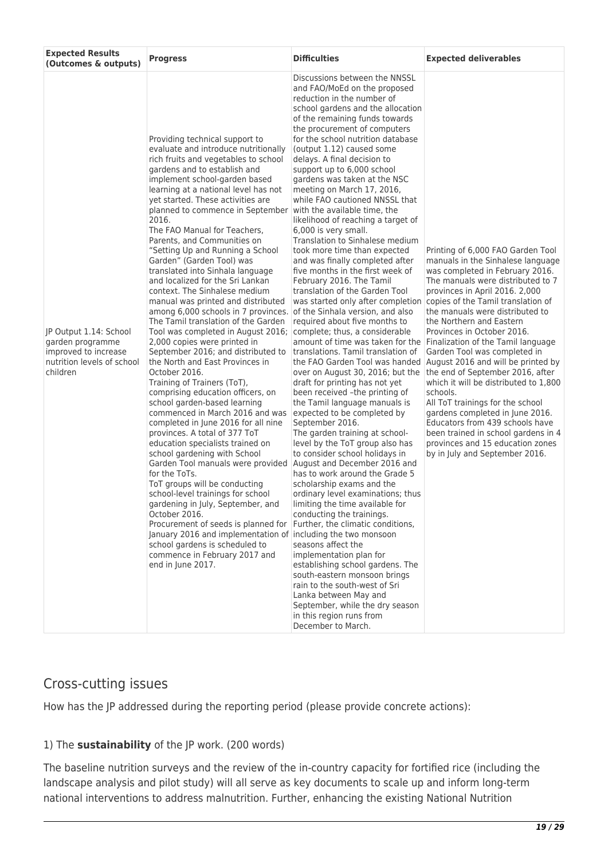| <b>Expected Results</b><br>(Outcomes & outputs)                                                              | <b>Progress</b>                                                                                                                                                                                                                                                                                                                                                                                                                                                                                                                                                                                                                                                                                                                                                                                                                                                                                                                                                                                                                                                                                                                                                                                                                                                                                                                                                                                                                                                                                                                              | <b>Difficulties</b>                                                                                                                                                                                                                                                                                                                                                                                                                                                                                                                                                                                                                                                                                                                                                                                                                                                                                                                                                                                                                                                                                                                                                                                                                                                                                                                                                                                                                                                                                                                                                                                                                                                                                                                                                       | <b>Expected deliverables</b>                                                                                                                                                                                                                                                                                                                                                                                                                                                                                                                                                                                                                                                                                                                    |
|--------------------------------------------------------------------------------------------------------------|----------------------------------------------------------------------------------------------------------------------------------------------------------------------------------------------------------------------------------------------------------------------------------------------------------------------------------------------------------------------------------------------------------------------------------------------------------------------------------------------------------------------------------------------------------------------------------------------------------------------------------------------------------------------------------------------------------------------------------------------------------------------------------------------------------------------------------------------------------------------------------------------------------------------------------------------------------------------------------------------------------------------------------------------------------------------------------------------------------------------------------------------------------------------------------------------------------------------------------------------------------------------------------------------------------------------------------------------------------------------------------------------------------------------------------------------------------------------------------------------------------------------------------------------|---------------------------------------------------------------------------------------------------------------------------------------------------------------------------------------------------------------------------------------------------------------------------------------------------------------------------------------------------------------------------------------------------------------------------------------------------------------------------------------------------------------------------------------------------------------------------------------------------------------------------------------------------------------------------------------------------------------------------------------------------------------------------------------------------------------------------------------------------------------------------------------------------------------------------------------------------------------------------------------------------------------------------------------------------------------------------------------------------------------------------------------------------------------------------------------------------------------------------------------------------------------------------------------------------------------------------------------------------------------------------------------------------------------------------------------------------------------------------------------------------------------------------------------------------------------------------------------------------------------------------------------------------------------------------------------------------------------------------------------------------------------------------|-------------------------------------------------------------------------------------------------------------------------------------------------------------------------------------------------------------------------------------------------------------------------------------------------------------------------------------------------------------------------------------------------------------------------------------------------------------------------------------------------------------------------------------------------------------------------------------------------------------------------------------------------------------------------------------------------------------------------------------------------|
| JP Output 1.14: School<br>garden programme<br>improved to increase<br>nutrition levels of school<br>children | Providing technical support to<br>evaluate and introduce nutritionally<br>rich fruits and vegetables to school<br>gardens and to establish and<br>implement school-garden based<br>learning at a national level has not<br>yet started. These activities are<br>planned to commence in September<br>2016.<br>The FAO Manual for Teachers,<br>Parents, and Communities on<br>"Setting Up and Running a School<br>Garden" (Garden Tool) was<br>translated into Sinhala language<br>and localized for the Sri Lankan<br>context. The Sinhalese medium<br>manual was printed and distributed<br>among 6,000 schools in 7 provinces.<br>The Tamil translation of the Garden<br>Tool was completed in August 2016;<br>2,000 copies were printed in<br>September 2016; and distributed to<br>the North and East Provinces in<br>October 2016.<br>Training of Trainers (ToT),<br>comprising education officers, on<br>school garden-based learning<br>commenced in March 2016 and was<br>completed in June 2016 for all nine<br>provinces. A total of 377 ToT<br>education specialists trained on<br>school gardening with School<br>Garden Tool manuals were provided<br>for the ToTs.<br>ToT groups will be conducting<br>school-level trainings for school<br>gardening in July, September, and<br>October 2016.<br>Procurement of seeds is planned for Further, the climatic conditions,<br>January 2016 and implementation of including the two monsoon<br>school gardens is scheduled to<br>commence in February 2017 and<br>end in June 2017. | Discussions between the NNSSL<br>and FAO/MoEd on the proposed<br>reduction in the number of<br>school gardens and the allocation<br>of the remaining funds towards<br>the procurement of computers<br>for the school nutrition database<br>(output 1.12) caused some<br>delays. A final decision to<br>support up to 6,000 school<br>gardens was taken at the NSC<br>meeting on March 17, 2016,<br>while FAO cautioned NNSSL that<br>with the available time, the<br>likelihood of reaching a target of<br>6,000 is very small.<br>Translation to Sinhalese medium<br>took more time than expected<br>and was finally completed after<br>five months in the first week of<br>February 2016. The Tamil<br>translation of the Garden Tool<br>was started only after completion<br>of the Sinhala version, and also<br>required about five months to<br>complete; thus, a considerable<br>amount of time was taken for the<br>translations. Tamil translation of<br>the FAO Garden Tool was handed<br>over on August 30, 2016; but the<br>draft for printing has not yet<br>been received -the printing of<br>the Tamil language manuals is<br>expected to be completed by<br>September 2016.<br>The garden training at school-<br>level by the ToT group also has<br>to consider school holidays in<br>August and December 2016 and<br>has to work around the Grade 5<br>scholarship exams and the<br>ordinary level examinations; thus<br>limiting the time available for<br>conducting the trainings.<br>seasons affect the<br>implementation plan for<br>establishing school gardens. The<br>south-eastern monsoon brings<br>rain to the south-west of Sri<br>Lanka between May and<br>September, while the dry season<br>in this region runs from<br>December to March. | Printing of 6,000 FAO Garden Tool<br>manuals in the Sinhalese language<br>was completed in February 2016.<br>The manuals were distributed to 7<br>provinces in April 2016. 2,000<br>copies of the Tamil translation of<br>the manuals were distributed to<br>the Northern and Eastern<br>Provinces in October 2016.<br>Finalization of the Tamil language<br>Garden Tool was completed in<br>August 2016 and will be printed by<br>the end of September 2016, after<br>which it will be distributed to 1,800<br>schools.<br>All ToT trainings for the school<br>gardens completed in June 2016.<br>Educators from 439 schools have<br>been trained in school gardens in 4<br>provinces and 15 education zones<br>by in July and September 2016. |

# Cross-cutting issues

How has the JP addressed during the reporting period (please provide concrete actions):

# 1) The **sustainability** of the JP work. (200 words)

The baseline nutrition surveys and the review of the in-country capacity for fortified rice (including the landscape analysis and pilot study) will all serve as key documents to scale up and inform long-term national interventions to address malnutrition. Further, enhancing the existing National Nutrition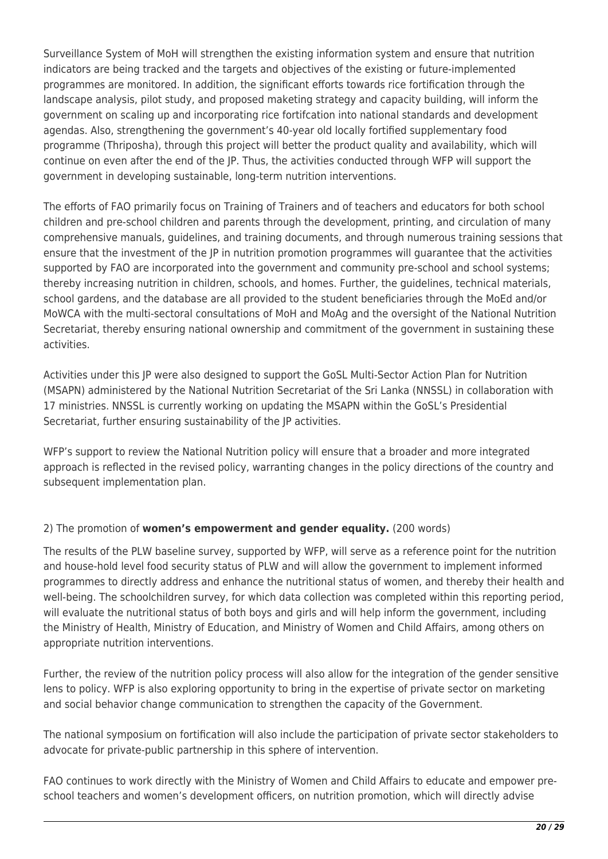Surveillance System of MoH will strengthen the existing information system and ensure that nutrition indicators are being tracked and the targets and objectives of the existing or future-implemented programmes are monitored. In addition, the significant efforts towards rice fortification through the landscape analysis, pilot study, and proposed maketing strategy and capacity building, will inform the government on scaling up and incorporating rice fortifcation into national standards and development agendas. Also, strengthening the government's 40-year old locally fortified supplementary food programme (Thriposha), through this project will better the product quality and availability, which will continue on even after the end of the JP. Thus, the activities conducted through WFP will support the government in developing sustainable, long-term nutrition interventions.

The efforts of FAO primarily focus on Training of Trainers and of teachers and educators for both school children and pre-school children and parents through the development, printing, and circulation of many comprehensive manuals, guidelines, and training documents, and through numerous training sessions that ensure that the investment of the JP in nutrition promotion programmes will guarantee that the activities supported by FAO are incorporated into the government and community pre-school and school systems; thereby increasing nutrition in children, schools, and homes. Further, the guidelines, technical materials, school gardens, and the database are all provided to the student beneficiaries through the MoEd and/or MoWCA with the multi-sectoral consultations of MoH and MoAg and the oversight of the National Nutrition Secretariat, thereby ensuring national ownership and commitment of the government in sustaining these activities.

Activities under this JP were also designed to support the GoSL Multi-Sector Action Plan for Nutrition (MSAPN) administered by the National Nutrition Secretariat of the Sri Lanka (NNSSL) in collaboration with 17 ministries. NNSSL is currently working on updating the MSAPN within the GoSL's Presidential Secretariat, further ensuring sustainability of the JP activities.

WFP's support to review the National Nutrition policy will ensure that a broader and more integrated approach is reflected in the revised policy, warranting changes in the policy directions of the country and subsequent implementation plan.

# 2) The promotion of **women's empowerment and gender equality.** (200 words)

The results of the PLW baseline survey, supported by WFP, will serve as a reference point for the nutrition and house-hold level food security status of PLW and will allow the government to implement informed programmes to directly address and enhance the nutritional status of women, and thereby their health and well-being. The schoolchildren survey, for which data collection was completed within this reporting period, will evaluate the nutritional status of both boys and girls and will help inform the government, including the Ministry of Health, Ministry of Education, and Ministry of Women and Child Affairs, among others on appropriate nutrition interventions.

Further, the review of the nutrition policy process will also allow for the integration of the gender sensitive lens to policy. WFP is also exploring opportunity to bring in the expertise of private sector on marketing and social behavior change communication to strengthen the capacity of the Government.

The national symposium on fortification will also include the participation of private sector stakeholders to advocate for private-public partnership in this sphere of intervention.

FAO continues to work directly with the Ministry of Women and Child Affairs to educate and empower preschool teachers and women's development officers, on nutrition promotion, which will directly advise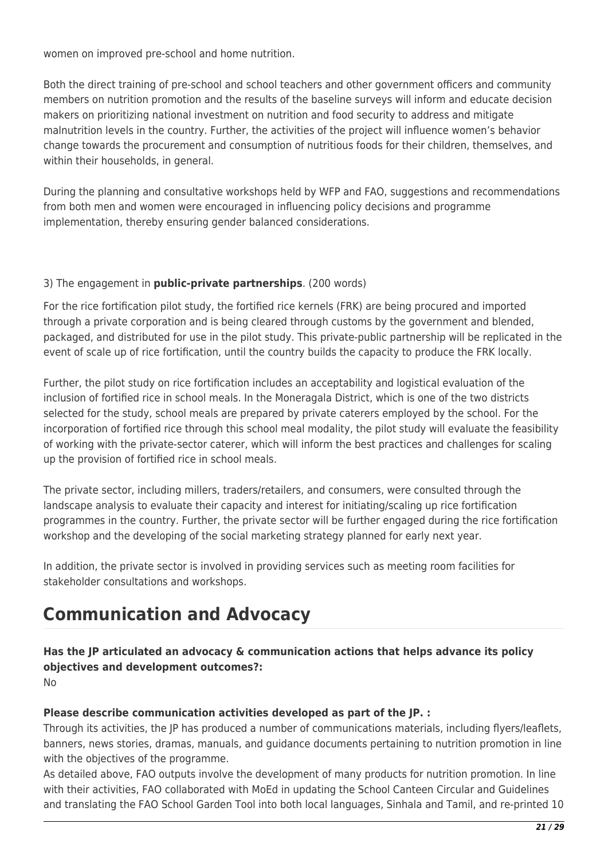women on improved pre-school and home nutrition.

Both the direct training of pre-school and school teachers and other government officers and community members on nutrition promotion and the results of the baseline surveys will inform and educate decision makers on prioritizing national investment on nutrition and food security to address and mitigate malnutrition levels in the country. Further, the activities of the project will influence women's behavior change towards the procurement and consumption of nutritious foods for their children, themselves, and within their households, in general.

During the planning and consultative workshops held by WFP and FAO, suggestions and recommendations from both men and women were encouraged in influencing policy decisions and programme implementation, thereby ensuring gender balanced considerations.

## 3) The engagement in **public-private partnerships**. (200 words)

For the rice fortification pilot study, the fortified rice kernels (FRK) are being procured and imported through a private corporation and is being cleared through customs by the government and blended, packaged, and distributed for use in the pilot study. This private-public partnership will be replicated in the event of scale up of rice fortification, until the country builds the capacity to produce the FRK locally.

Further, the pilot study on rice fortification includes an acceptability and logistical evaluation of the inclusion of fortified rice in school meals. In the Moneragala District, which is one of the two districts selected for the study, school meals are prepared by private caterers employed by the school. For the incorporation of fortified rice through this school meal modality, the pilot study will evaluate the feasibility of working with the private-sector caterer, which will inform the best practices and challenges for scaling up the provision of fortified rice in school meals.

The private sector, including millers, traders/retailers, and consumers, were consulted through the landscape analysis to evaluate their capacity and interest for initiating/scaling up rice fortification programmes in the country. Further, the private sector will be further engaged during the rice fortification workshop and the developing of the social marketing strategy planned for early next year.

In addition, the private sector is involved in providing services such as meeting room facilities for stakeholder consultations and workshops.

# **Communication and Advocacy**

**Has the JP articulated an advocacy & communication actions that helps advance its policy objectives and development outcomes?:**  No

# **Please describe communication activities developed as part of the JP. :**

Through its activities, the JP has produced a number of communications materials, including flyers/leaflets, banners, news stories, dramas, manuals, and guidance documents pertaining to nutrition promotion in line with the objectives of the programme.

As detailed above, FAO outputs involve the development of many products for nutrition promotion. In line with their activities, FAO collaborated with MoEd in updating the School Canteen Circular and Guidelines and translating the FAO School Garden Tool into both local languages, Sinhala and Tamil, and re-printed 10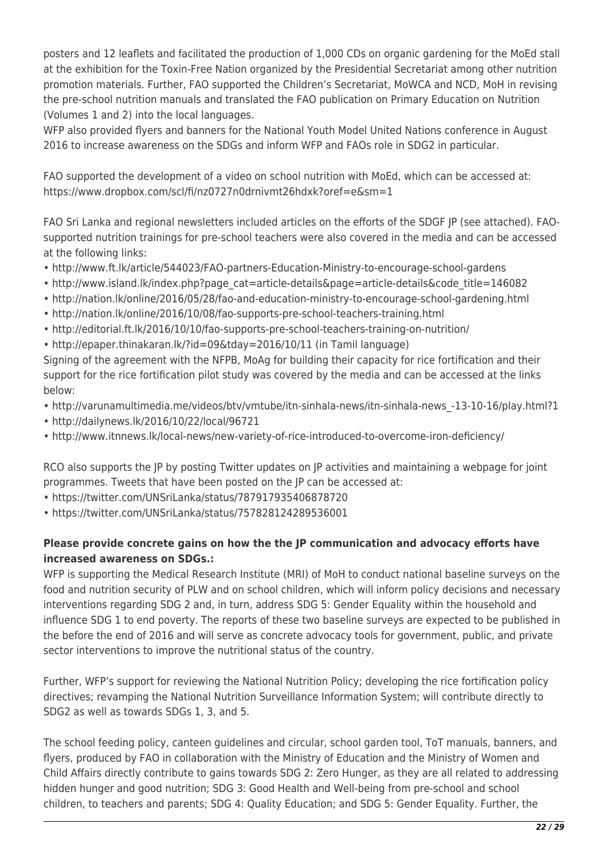posters and 12 leaflets and facilitated the production of 1,000 CDs on organic gardening for the MoEd stall at the exhibition for the Toxin-Free Nation organized by the Presidential Secretariat among other nutrition promotion materials. Further, FAO supported the Children's Secretariat, MoWCA and NCD, MoH in revising the pre-school nutrition manuals and translated the FAO publication on Primary Education on Nutrition (Volumes 1 and 2) into the local languages.

WFP also provided flyers and banners for the National Youth Model United Nations conference in August 2016 to increase awareness on the SDGs and inform WFP and FAOs role in SDG2 in particular.

FAO supported the development of a video on school nutrition with MoEd, which can be accessed at: https://www.dropbox.com/scl/fi/nz0727n0drnivmt26hdxk?oref=e&sm=1

FAO Sri Lanka and regional newsletters included articles on the efforts of the SDGF JP (see attached). FAOsupported nutrition trainings for pre-school teachers were also covered in the media and can be accessed at the following links:

- http://www.ft.lk/article/544023/FAO-partners-Education-Ministry-to-encourage-school-gardens
- http://www.island.lk/index.php?page\_cat=article-details&page=article-details&code\_title=146082
- http://nation.lk/online/2016/05/28/fao-and-education-ministry-to-encourage-school-gardening.html
- http://nation.lk/online/2016/10/08/fao-supports-pre-school-teachers-training.html
- http://editorial.ft.lk/2016/10/10/fao-supports-pre-school-teachers-training-on-nutrition/
- http://epaper.thinakaran.lk/?id=09&tday=2016/10/11 (in Tamil language)

Signing of the agreement with the NFPB, MoAg for building their capacity for rice fortification and their support for the rice fortification pilot study was covered by the media and can be accessed at the links below:

- http://varunamultimedia.me/videos/btv/vmtube/itn-sinhala-news/itn-sinhala-news\_-13-10-16/play.html?1
- http://dailynews.lk/2016/10/22/local/96721
- http://www.itnnews.lk/local-news/new-variety-of-rice-introduced-to-overcome-iron-deficiency/

RCO also supports the JP by posting Twitter updates on JP activities and maintaining a webpage for joint programmes. Tweets that have been posted on the JP can be accessed at:

- https://twitter.com/UNSriLanka/status/787917935406878720
- https://twitter.com/UNSriLanka/status/757828124289536001

# **Please provide concrete gains on how the the JP communication and advocacy efforts have increased awareness on SDGs.:**

WFP is supporting the Medical Research Institute (MRI) of MoH to conduct national baseline surveys on the food and nutrition security of PLW and on school children, which will inform policy decisions and necessary interventions regarding SDG 2 and, in turn, address SDG 5: Gender Equality within the household and influence SDG 1 to end poverty. The reports of these two baseline surveys are expected to be published in the before the end of 2016 and will serve as concrete advocacy tools for government, public, and private sector interventions to improve the nutritional status of the country.

Further, WFP's support for reviewing the National Nutrition Policy; developing the rice fortification policy directives; revamping the National Nutrition Surveillance Information System; will contribute directly to SDG2 as well as towards SDGs 1, 3, and 5.

The school feeding policy, canteen guidelines and circular, school garden tool, ToT manuals, banners, and flyers, produced by FAO in collaboration with the Ministry of Education and the Ministry of Women and Child Affairs directly contribute to gains towards SDG 2: Zero Hunger, as they are all related to addressing hidden hunger and good nutrition; SDG 3: Good Health and Well-being from pre-school and school children, to teachers and parents; SDG 4: Quality Education; and SDG 5: Gender Equality. Further, the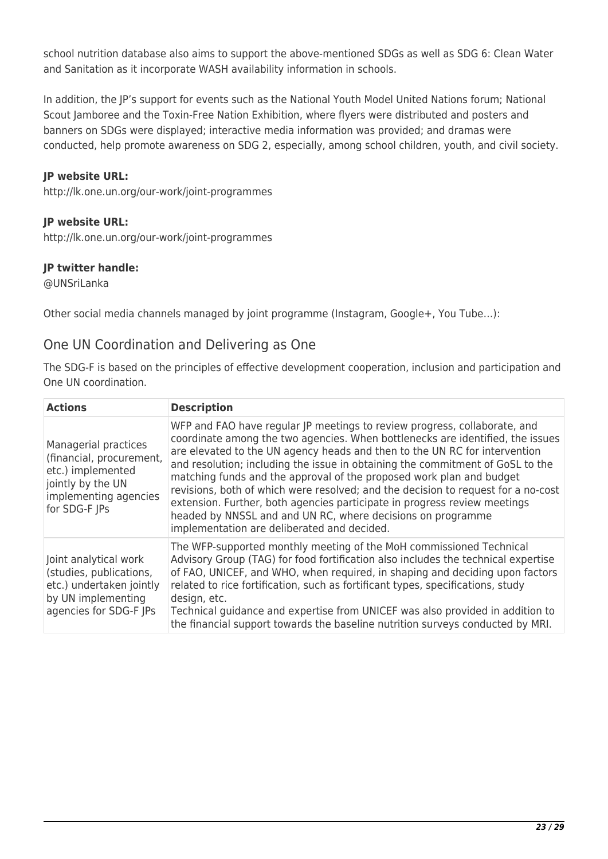school nutrition database also aims to support the above-mentioned SDGs as well as SDG 6: Clean Water and Sanitation as it incorporate WASH availability information in schools.

In addition, the JP's support for events such as the National Youth Model United Nations forum; National Scout Jamboree and the Toxin-Free Nation Exhibition, where flyers were distributed and posters and banners on SDGs were displayed; interactive media information was provided; and dramas were conducted, help promote awareness on SDG 2, especially, among school children, youth, and civil society.

### **JP website URL:**

http://lk.one.un.org/our-work/joint-programmes

### **JP website URL:**

http://lk.one.un.org/our-work/joint-programmes

### **JP twitter handle:**

@UNSriLanka

Other social media channels managed by joint programme (Instagram, Google+, You Tube…):

# One UN Coordination and Delivering as One

The SDG-F is based on the principles of effective development cooperation, inclusion and participation and One UN coordination.

| <b>Actions</b>                                                                                                                       | <b>Description</b>                                                                                                                                                                                                                                                                                                                                                                                                                                                                                                                                                                                                                                                                  |
|--------------------------------------------------------------------------------------------------------------------------------------|-------------------------------------------------------------------------------------------------------------------------------------------------------------------------------------------------------------------------------------------------------------------------------------------------------------------------------------------------------------------------------------------------------------------------------------------------------------------------------------------------------------------------------------------------------------------------------------------------------------------------------------------------------------------------------------|
| Managerial practices<br>(financial, procurement,<br>etc.) implemented<br>jointly by the UN<br>implementing agencies<br>for SDG-F JPs | WFP and FAO have regular JP meetings to review progress, collaborate, and<br>coordinate among the two agencies. When bottlenecks are identified, the issues<br>are elevated to the UN agency heads and then to the UN RC for intervention<br>and resolution; including the issue in obtaining the commitment of GoSL to the<br>matching funds and the approval of the proposed work plan and budget<br>revisions, both of which were resolved; and the decision to request for a no-cost<br>extension. Further, both agencies participate in progress review meetings<br>headed by NNSSL and and UN RC, where decisions on programme<br>implementation are deliberated and decided. |
| Joint analytical work<br>(studies, publications,<br>etc.) undertaken jointly<br>by UN implementing<br>agencies for SDG-F JPs         | The WFP-supported monthly meeting of the MoH commissioned Technical<br>Advisory Group (TAG) for food fortification also includes the technical expertise<br>of FAO, UNICEF, and WHO, when required, in shaping and deciding upon factors<br>related to rice fortification, such as fortificant types, specifications, study<br>design, etc.<br>Technical guidance and expertise from UNICEF was also provided in addition to<br>the financial support towards the baseline nutrition surveys conducted by MRI.                                                                                                                                                                      |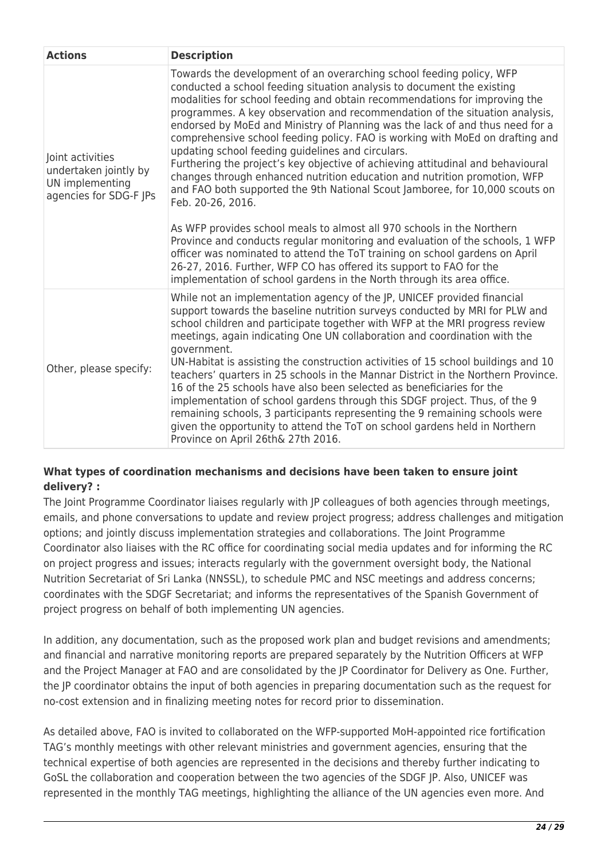| <b>Actions</b>                                                                         | <b>Description</b>                                                                                                                                                                                                                                                                                                                                                                                                                                                                                                                                                                                                                                                                                                                                                                                                                                                                                                                                                                                                                                                                                                                                                                                 |
|----------------------------------------------------------------------------------------|----------------------------------------------------------------------------------------------------------------------------------------------------------------------------------------------------------------------------------------------------------------------------------------------------------------------------------------------------------------------------------------------------------------------------------------------------------------------------------------------------------------------------------------------------------------------------------------------------------------------------------------------------------------------------------------------------------------------------------------------------------------------------------------------------------------------------------------------------------------------------------------------------------------------------------------------------------------------------------------------------------------------------------------------------------------------------------------------------------------------------------------------------------------------------------------------------|
| Joint activities<br>undertaken jointly by<br>UN implementing<br>agencies for SDG-F JPs | Towards the development of an overarching school feeding policy, WFP<br>conducted a school feeding situation analysis to document the existing<br>modalities for school feeding and obtain recommendations for improving the<br>programmes. A key observation and recommendation of the situation analysis,<br>endorsed by MoEd and Ministry of Planning was the lack of and thus need for a<br>comprehensive school feeding policy. FAO is working with MoEd on drafting and<br>updating school feeding guidelines and circulars.<br>Furthering the project's key objective of achieving attitudinal and behavioural<br>changes through enhanced nutrition education and nutrition promotion, WFP<br>and FAO both supported the 9th National Scout Jamboree, for 10,000 scouts on<br>Feb. 20-26, 2016.<br>As WFP provides school meals to almost all 970 schools in the Northern<br>Province and conducts regular monitoring and evaluation of the schools, 1 WFP<br>officer was nominated to attend the ToT training on school gardens on April<br>26-27, 2016. Further, WFP CO has offered its support to FAO for the<br>implementation of school gardens in the North through its area office. |
| Other, please specify:                                                                 | While not an implementation agency of the JP, UNICEF provided financial<br>support towards the baseline nutrition surveys conducted by MRI for PLW and<br>school children and participate together with WFP at the MRI progress review<br>meetings, again indicating One UN collaboration and coordination with the<br>government.<br>UN-Habitat is assisting the construction activities of 15 school buildings and 10<br>teachers' quarters in 25 schools in the Mannar District in the Northern Province.<br>16 of the 25 schools have also been selected as beneficiaries for the<br>implementation of school gardens through this SDGF project. Thus, of the 9<br>remaining schools, 3 participants representing the 9 remaining schools were<br>given the opportunity to attend the ToT on school gardens held in Northern<br>Province on April 26th& 27th 2016.                                                                                                                                                                                                                                                                                                                             |

## **What types of coordination mechanisms and decisions have been taken to ensure joint delivery? :**

The Joint Programme Coordinator liaises regularly with JP colleagues of both agencies through meetings, emails, and phone conversations to update and review project progress; address challenges and mitigation options; and jointly discuss implementation strategies and collaborations. The Joint Programme Coordinator also liaises with the RC office for coordinating social media updates and for informing the RC on project progress and issues; interacts regularly with the government oversight body, the National Nutrition Secretariat of Sri Lanka (NNSSL), to schedule PMC and NSC meetings and address concerns; coordinates with the SDGF Secretariat; and informs the representatives of the Spanish Government of project progress on behalf of both implementing UN agencies.

In addition, any documentation, such as the proposed work plan and budget revisions and amendments; and financial and narrative monitoring reports are prepared separately by the Nutrition Officers at WFP and the Project Manager at FAO and are consolidated by the JP Coordinator for Delivery as One. Further, the JP coordinator obtains the input of both agencies in preparing documentation such as the request for no-cost extension and in finalizing meeting notes for record prior to dissemination.

As detailed above, FAO is invited to collaborated on the WFP-supported MoH-appointed rice fortification TAG's monthly meetings with other relevant ministries and government agencies, ensuring that the technical expertise of both agencies are represented in the decisions and thereby further indicating to GoSL the collaboration and cooperation between the two agencies of the SDGF JP. Also, UNICEF was represented in the monthly TAG meetings, highlighting the alliance of the UN agencies even more. And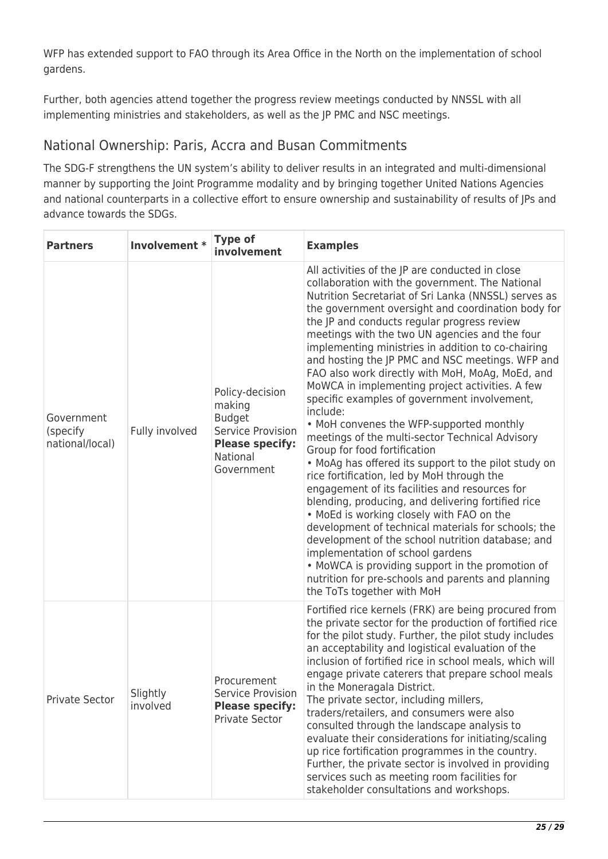WFP has extended support to FAO through its Area Office in the North on the implementation of school gardens.

Further, both agencies attend together the progress review meetings conducted by NNSSL with all implementing ministries and stakeholders, as well as the JP PMC and NSC meetings.

# National Ownership: Paris, Accra and Busan Commitments

The SDG-F strengthens the UN system's ability to deliver results in an integrated and multi-dimensional manner by supporting the Joint Programme modality and by bringing together United Nations Agencies and national counterparts in a collective effort to ensure ownership and sustainability of results of JPs and advance towards the SDGs.

| <b>Partners</b>                           | Involvement *        | <b>Type of</b><br>involvement                                                                                       | <b>Examples</b>                                                                                                                                                                                                                                                                                                                                                                                                                                                                                                                                                                                                                                                                                                                                                                                                                                                                                                                                                                                                                                                                                                                                                                                                                                                                  |
|-------------------------------------------|----------------------|---------------------------------------------------------------------------------------------------------------------|----------------------------------------------------------------------------------------------------------------------------------------------------------------------------------------------------------------------------------------------------------------------------------------------------------------------------------------------------------------------------------------------------------------------------------------------------------------------------------------------------------------------------------------------------------------------------------------------------------------------------------------------------------------------------------------------------------------------------------------------------------------------------------------------------------------------------------------------------------------------------------------------------------------------------------------------------------------------------------------------------------------------------------------------------------------------------------------------------------------------------------------------------------------------------------------------------------------------------------------------------------------------------------|
| Government<br>(specify<br>national/local) | Fully involved       | Policy-decision<br>making<br><b>Budget</b><br>Service Provision<br><b>Please specify:</b><br>National<br>Government | All activities of the JP are conducted in close<br>collaboration with the government. The National<br>Nutrition Secretariat of Sri Lanka (NNSSL) serves as<br>the government oversight and coordination body for<br>the JP and conducts regular progress review<br>meetings with the two UN agencies and the four<br>implementing ministries in addition to co-chairing<br>and hosting the JP PMC and NSC meetings. WFP and<br>FAO also work directly with MoH, MoAg, MoEd, and<br>MoWCA in implementing project activities. A few<br>specific examples of government involvement,<br>include:<br>• MoH convenes the WFP-supported monthly<br>meetings of the multi-sector Technical Advisory<br>Group for food fortification<br>• MoAg has offered its support to the pilot study on<br>rice fortification, led by MoH through the<br>engagement of its facilities and resources for<br>blending, producing, and delivering fortified rice<br>. MoEd is working closely with FAO on the<br>development of technical materials for schools; the<br>development of the school nutrition database; and<br>implementation of school gardens<br>• MoWCA is providing support in the promotion of<br>nutrition for pre-schools and parents and planning<br>the ToTs together with MoH |
| <b>Private Sector</b>                     | Slightly<br>involved | Procurement<br>Service Provision<br><b>Please specify:</b><br>Private Sector                                        | Fortified rice kernels (FRK) are being procured from<br>the private sector for the production of fortified rice<br>for the pilot study. Further, the pilot study includes<br>an acceptability and logistical evaluation of the<br>inclusion of fortified rice in school meals, which will<br>engage private caterers that prepare school meals<br>in the Moneragala District.<br>The private sector, including millers,<br>traders/retailers, and consumers were also<br>consulted through the landscape analysis to<br>evaluate their considerations for initiating/scaling<br>up rice fortification programmes in the country.<br>Further, the private sector is involved in providing<br>services such as meeting room facilities for<br>stakeholder consultations and workshops.                                                                                                                                                                                                                                                                                                                                                                                                                                                                                             |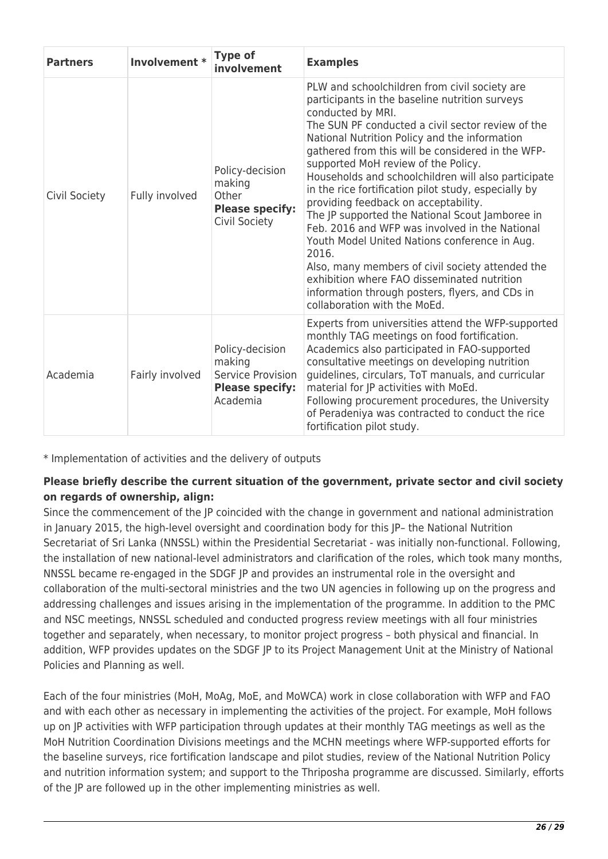| <b>Partners</b> | Involvement *   | <b>Type of</b><br>involvement                                                        | <b>Examples</b>                                                                                                                                                                                                                                                                                                                                                                                                                                                                                                                                                                                                                                                                                                                                                                                                                    |
|-----------------|-----------------|--------------------------------------------------------------------------------------|------------------------------------------------------------------------------------------------------------------------------------------------------------------------------------------------------------------------------------------------------------------------------------------------------------------------------------------------------------------------------------------------------------------------------------------------------------------------------------------------------------------------------------------------------------------------------------------------------------------------------------------------------------------------------------------------------------------------------------------------------------------------------------------------------------------------------------|
| Civil Society   | Fully involved  | Policy-decision<br>making<br>Other<br><b>Please specify:</b><br>Civil Society        | PLW and schoolchildren from civil society are<br>participants in the baseline nutrition surveys<br>conducted by MRI.<br>The SUN PF conducted a civil sector review of the<br>National Nutrition Policy and the information<br>gathered from this will be considered in the WFP-<br>supported MoH review of the Policy.<br>Households and schoolchildren will also participate<br>in the rice fortification pilot study, especially by<br>providing feedback on acceptability.<br>The JP supported the National Scout Jamboree in<br>Feb. 2016 and WFP was involved in the National<br>Youth Model United Nations conference in Aug.<br>2016.<br>Also, many members of civil society attended the<br>exhibition where FAO disseminated nutrition<br>information through posters, flyers, and CDs in<br>collaboration with the MoEd. |
| Academia        | Fairly involved | Policy-decision<br>making<br>Service Provision<br><b>Please specify:</b><br>Academia | Experts from universities attend the WFP-supported<br>monthly TAG meetings on food fortification.<br>Academics also participated in FAO-supported<br>consultative meetings on developing nutrition<br>guidelines, circulars, ToT manuals, and curricular<br>material for JP activities with MoEd.<br>Following procurement procedures, the University<br>of Peradeniya was contracted to conduct the rice<br>fortification pilot study.                                                                                                                                                                                                                                                                                                                                                                                            |

\* Implementation of activities and the delivery of outputs

## **Please briefly describe the current situation of the government, private sector and civil society on regards of ownership, align:**

Since the commencement of the JP coincided with the change in government and national administration in January 2015, the high-level oversight and coordination body for this JP– the National Nutrition Secretariat of Sri Lanka (NNSSL) within the Presidential Secretariat - was initially non-functional. Following, the installation of new national-level administrators and clarification of the roles, which took many months, NNSSL became re-engaged in the SDGF JP and provides an instrumental role in the oversight and collaboration of the multi-sectoral ministries and the two UN agencies in following up on the progress and addressing challenges and issues arising in the implementation of the programme. In addition to the PMC and NSC meetings, NNSSL scheduled and conducted progress review meetings with all four ministries together and separately, when necessary, to monitor project progress – both physical and financial. In addition, WFP provides updates on the SDGF JP to its Project Management Unit at the Ministry of National Policies and Planning as well.

Each of the four ministries (MoH, MoAg, MoE, and MoWCA) work in close collaboration with WFP and FAO and with each other as necessary in implementing the activities of the project. For example, MoH follows up on JP activities with WFP participation through updates at their monthly TAG meetings as well as the MoH Nutrition Coordination Divisions meetings and the MCHN meetings where WFP-supported efforts for the baseline surveys, rice fortification landscape and pilot studies, review of the National Nutrition Policy and nutrition information system; and support to the Thriposha programme are discussed. Similarly, efforts of the JP are followed up in the other implementing ministries as well.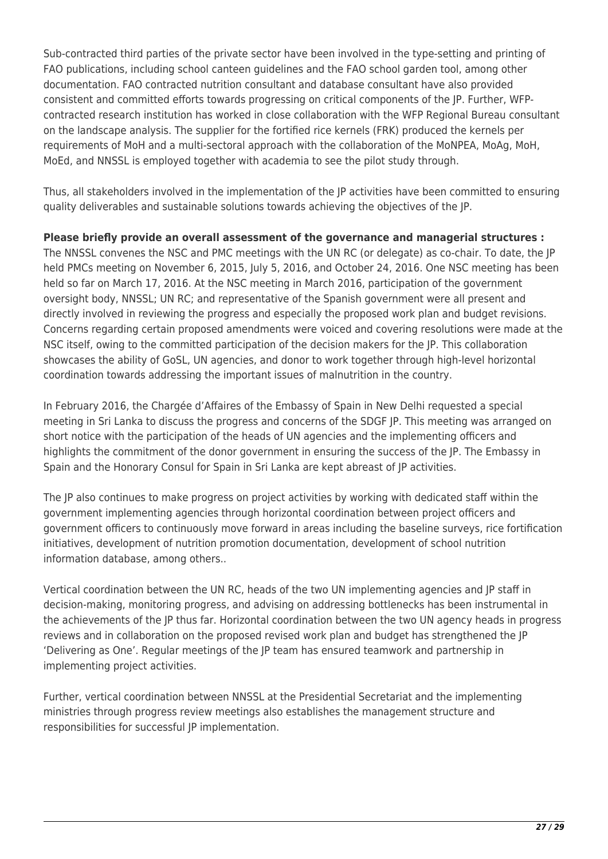Sub-contracted third parties of the private sector have been involved in the type-setting and printing of FAO publications, including school canteen guidelines and the FAO school garden tool, among other documentation. FAO contracted nutrition consultant and database consultant have also provided consistent and committed efforts towards progressing on critical components of the JP. Further, WFPcontracted research institution has worked in close collaboration with the WFP Regional Bureau consultant on the landscape analysis. The supplier for the fortified rice kernels (FRK) produced the kernels per requirements of MoH and a multi-sectoral approach with the collaboration of the MoNPEA, MoAg, MoH, MoEd, and NNSSL is employed together with academia to see the pilot study through.

Thus, all stakeholders involved in the implementation of the JP activities have been committed to ensuring quality deliverables and sustainable solutions towards achieving the objectives of the JP.

**Please briefly provide an overall assessment of the governance and managerial structures :**  The NNSSL convenes the NSC and PMC meetings with the UN RC (or delegate) as co-chair. To date, the JP held PMCs meeting on November 6, 2015, July 5, 2016, and October 24, 2016. One NSC meeting has been held so far on March 17, 2016. At the NSC meeting in March 2016, participation of the government oversight body, NNSSL; UN RC; and representative of the Spanish government were all present and directly involved in reviewing the progress and especially the proposed work plan and budget revisions. Concerns regarding certain proposed amendments were voiced and covering resolutions were made at the NSC itself, owing to the committed participation of the decision makers for the JP. This collaboration showcases the ability of GoSL, UN agencies, and donor to work together through high-level horizontal coordination towards addressing the important issues of malnutrition in the country.

In February 2016, the Chargée d'Affaires of the Embassy of Spain in New Delhi requested a special meeting in Sri Lanka to discuss the progress and concerns of the SDGF JP. This meeting was arranged on short notice with the participation of the heads of UN agencies and the implementing officers and highlights the commitment of the donor government in ensuring the success of the JP. The Embassy in Spain and the Honorary Consul for Spain in Sri Lanka are kept abreast of JP activities.

The JP also continues to make progress on project activities by working with dedicated staff within the government implementing agencies through horizontal coordination between project officers and government officers to continuously move forward in areas including the baseline surveys, rice fortification initiatives, development of nutrition promotion documentation, development of school nutrition information database, among others..

Vertical coordination between the UN RC, heads of the two UN implementing agencies and JP staff in decision-making, monitoring progress, and advising on addressing bottlenecks has been instrumental in the achievements of the JP thus far. Horizontal coordination between the two UN agency heads in progress reviews and in collaboration on the proposed revised work plan and budget has strengthened the JP 'Delivering as One'. Regular meetings of the JP team has ensured teamwork and partnership in implementing project activities.

Further, vertical coordination between NNSSL at the Presidential Secretariat and the implementing ministries through progress review meetings also establishes the management structure and responsibilities for successful JP implementation.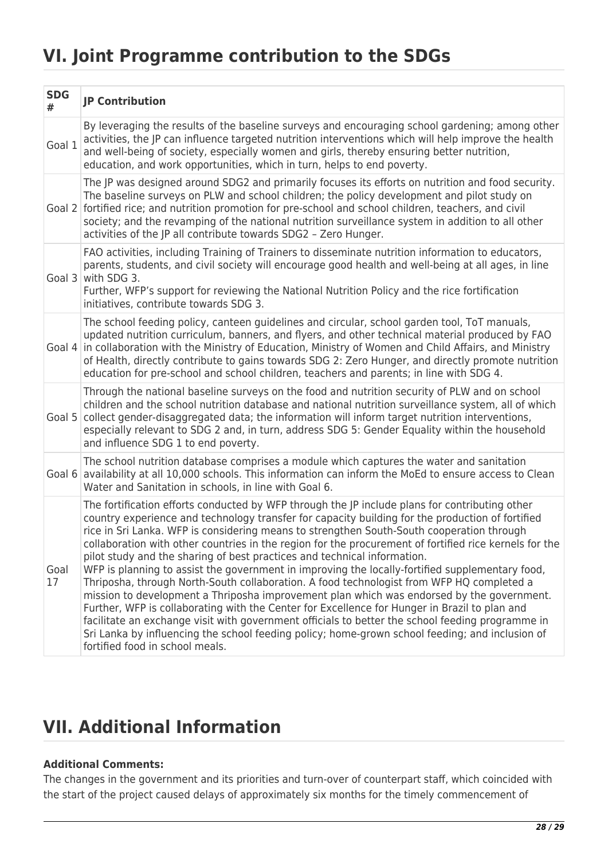# **VI. Joint Programme contribution to the SDGs**

| <b>SDG</b><br># | <b>JP Contribution</b>                                                                                                                                                                                                                                                                                                                                                                                                                                                                                                                                                                                                                                                                                                                                                                                                                                                                                                                                                                                                                                                                                                        |
|-----------------|-------------------------------------------------------------------------------------------------------------------------------------------------------------------------------------------------------------------------------------------------------------------------------------------------------------------------------------------------------------------------------------------------------------------------------------------------------------------------------------------------------------------------------------------------------------------------------------------------------------------------------------------------------------------------------------------------------------------------------------------------------------------------------------------------------------------------------------------------------------------------------------------------------------------------------------------------------------------------------------------------------------------------------------------------------------------------------------------------------------------------------|
| Goal 1          | By leveraging the results of the baseline surveys and encouraging school gardening; among other<br>activities, the JP can influence targeted nutrition interventions which will help improve the health<br>and well-being of society, especially women and girls, thereby ensuring better nutrition,<br>education, and work opportunities, which in turn, helps to end poverty.                                                                                                                                                                                                                                                                                                                                                                                                                                                                                                                                                                                                                                                                                                                                               |
|                 | The JP was designed around SDG2 and primarily focuses its efforts on nutrition and food security.<br>The baseline surveys on PLW and school children; the policy development and pilot study on<br>Goal 2 fortified rice; and nutrition promotion for pre-school and school children, teachers, and civil<br>society; and the revamping of the national nutrition surveillance system in addition to all other<br>activities of the JP all contribute towards SDG2 - Zero Hunger.                                                                                                                                                                                                                                                                                                                                                                                                                                                                                                                                                                                                                                             |
|                 | FAO activities, including Training of Trainers to disseminate nutrition information to educators,<br>parents, students, and civil society will encourage good health and well-being at all ages, in line<br>Goal $3$ with SDG 3.<br>Further, WFP's support for reviewing the National Nutrition Policy and the rice fortification<br>initiatives, contribute towards SDG 3.                                                                                                                                                                                                                                                                                                                                                                                                                                                                                                                                                                                                                                                                                                                                                   |
|                 | The school feeding policy, canteen guidelines and circular, school garden tool, ToT manuals,<br>updated nutrition curriculum, banners, and flyers, and other technical material produced by FAO<br>Goal 4 in collaboration with the Ministry of Education, Ministry of Women and Child Affairs, and Ministry<br>of Health, directly contribute to gains towards SDG 2: Zero Hunger, and directly promote nutrition<br>education for pre-school and school children, teachers and parents; in line with SDG 4.                                                                                                                                                                                                                                                                                                                                                                                                                                                                                                                                                                                                                 |
| Goal 5          | Through the national baseline surveys on the food and nutrition security of PLW and on school<br>children and the school nutrition database and national nutrition surveillance system, all of which<br>collect gender-disaggregated data; the information will inform target nutrition interventions,<br>especially relevant to SDG 2 and, in turn, address SDG 5: Gender Equality within the household<br>and influence SDG 1 to end poverty.                                                                                                                                                                                                                                                                                                                                                                                                                                                                                                                                                                                                                                                                               |
| Goal 6          | The school nutrition database comprises a module which captures the water and sanitation<br>availability at all 10,000 schools. This information can inform the MoEd to ensure access to Clean<br>Water and Sanitation in schools, in line with Goal 6.                                                                                                                                                                                                                                                                                                                                                                                                                                                                                                                                                                                                                                                                                                                                                                                                                                                                       |
| Goal<br>17      | The fortification efforts conducted by WFP through the JP include plans for contributing other<br>country experience and technology transfer for capacity building for the production of fortified<br>rice in Sri Lanka. WFP is considering means to strengthen South-South cooperation through<br>collaboration with other countries in the region for the procurement of fortified rice kernels for the<br>pilot study and the sharing of best practices and technical information.<br>WFP is planning to assist the government in improving the locally-fortified supplementary food,<br>Thriposha, through North-South collaboration. A food technologist from WFP HQ completed a<br>mission to development a Thriposha improvement plan which was endorsed by the government.<br>Further, WFP is collaborating with the Center for Excellence for Hunger in Brazil to plan and<br>facilitate an exchange visit with government officials to better the school feeding programme in<br>Sri Lanka by influencing the school feeding policy; home-grown school feeding; and inclusion of<br>fortified food in school meals. |

# **VII. Additional Information**

### **Additional Comments:**

The changes in the government and its priorities and turn-over of counterpart staff, which coincided with the start of the project caused delays of approximately six months for the timely commencement of